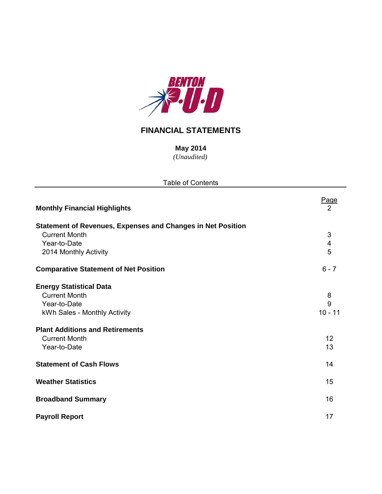

## **FINANCIAL STATEMENTS**

*(Unaudited)* **May 2014**

| <b>Table of Contents</b>                                           |                         |  |  |  |  |  |  |
|--------------------------------------------------------------------|-------------------------|--|--|--|--|--|--|
| <b>Monthly Financial Highlights</b>                                | Page<br>2               |  |  |  |  |  |  |
| <b>Statement of Revenues, Expenses and Changes in Net Position</b> |                         |  |  |  |  |  |  |
| <b>Current Month</b>                                               | 3                       |  |  |  |  |  |  |
| Year-to-Date                                                       | $\overline{\mathbf{4}}$ |  |  |  |  |  |  |
| 2014 Monthly Activity                                              | 5                       |  |  |  |  |  |  |
| <b>Comparative Statement of Net Position</b>                       | $6 - 7$                 |  |  |  |  |  |  |
| <b>Energy Statistical Data</b>                                     |                         |  |  |  |  |  |  |
| <b>Current Month</b>                                               | 8                       |  |  |  |  |  |  |
| Year-to-Date                                                       | 9                       |  |  |  |  |  |  |
| kWh Sales - Monthly Activity                                       | $10 - 11$               |  |  |  |  |  |  |
| <b>Plant Additions and Retirements</b>                             |                         |  |  |  |  |  |  |
| <b>Current Month</b>                                               | 12                      |  |  |  |  |  |  |
| Year-to-Date                                                       | 13                      |  |  |  |  |  |  |
| <b>Statement of Cash Flows</b>                                     | 14                      |  |  |  |  |  |  |
|                                                                    |                         |  |  |  |  |  |  |
| <b>Weather Statistics</b>                                          | 15                      |  |  |  |  |  |  |
| <b>Broadband Summary</b>                                           | 16                      |  |  |  |  |  |  |
| <b>Payroll Report</b>                                              | 17                      |  |  |  |  |  |  |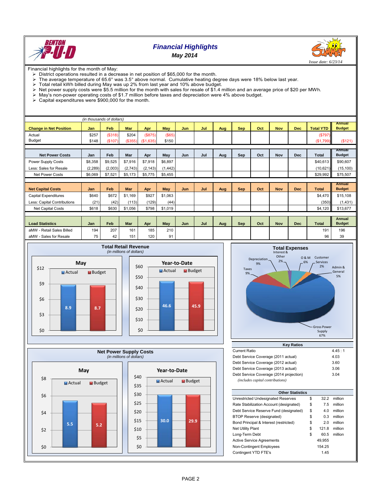

## *Financial Highlights May 2014*



Financial highlights for the month of May:

- District operations resulted in a decrease in net position of \$65,000 for the month.<br>
> The average temperature of 65.6° was 3.5° above normal. Cumulative heating de
- The average temperature of 65.6° was 3.5° above normal. Cumulative heating degree days were 18% below last year.<br>
> Total retail kWh billed during May was up 2% from last year and 10% above budget.
- 
- $\triangleright$  Total retail kWh billed during May was up 2% from last year and 10% above budget.<br>  $\triangleright$  Net power supply costs were \$5.5 million for the month with sales for resale of \$1.4 r Net power supply costs were \$5.5 million for the month with sales for resale of \$1.4 million and an average price of \$20 per MWh.<br>> May's non-power operating costs of \$1.7 million before taxes and depreciation were 4% abo
- $\triangleright$  May's non-power operating costs of \$1.7 million before taxes and depreciation were 4% above budget.<br>  $\triangleright$  Capital expenditures were \$900.000 for the month.
- Capital expenditures were \$900,000 for the month.

| (in thousands of dollars)     |          |            |            |           |          |            |     |     |            |     |            |            |                  |                                |
|-------------------------------|----------|------------|------------|-----------|----------|------------|-----|-----|------------|-----|------------|------------|------------------|--------------------------------|
| <b>Change in Net Position</b> | Jan      | Feb        | <b>Mar</b> | Apr       | May      | <b>Jun</b> | Jul | Aug | <b>Sep</b> | Oct | <b>Nov</b> | <b>Dec</b> | <b>Total YTD</b> | <b>Annual</b><br><b>Budget</b> |
| Actual                        | \$257    | (\$318)    | \$204      | (S875)    | (\$65)   |            |     |     |            |     |            |            | (\$797)          |                                |
| Budget                        | \$148    | (\$107)    | (\$355)    | (\$1,635) | \$150    |            |     |     |            |     |            |            | (\$1,799)        | (\$121)                        |
|                               |          |            |            |           |          |            |     |     |            |     |            |            |                  |                                |
| <b>Net Power Costs</b>        | Jan      | Feb        | Mar        | Apr       | May      | Jun        | Jul | Aug | Sep        | Oct | Nov        | <b>Dec</b> | Total            | Annual<br><b>Budget</b>        |
| Power Supply Costs            | \$8,358  | \$9,525    | \$7,916    | \$7,918   | \$6,897  |            |     |     |            |     |            |            | \$40,613         | \$90,607                       |
| Less: Sales for Resale        | (2, 289) | (2,003)    | (2,743)    | (2, 143)  | (1, 442) |            |     |     |            |     |            |            | (10,621)         | (15, 100)                      |
| <b>Net Power Costs</b>        | \$6,069  | \$7,521    | \$5,173    | \$5,775   | \$5,455  |            |     |     |            |     |            |            | \$29,992         | \$75,507                       |
|                               |          |            |            |           |          |            |     |     |            |     |            |            |                  |                                |
| <b>Net Capital Costs</b>      | Jan      | <b>Feb</b> | Mar        | Apr       | May      | Jun        | Jul | Aug | <b>Sep</b> | Oct | <b>Nov</b> | Dec        | <b>Total</b>     | <b>Annual</b><br><b>Budget</b> |
| <b>Capital Expenditures</b>   | \$640    | \$672      | \$1,169    | \$927     | \$1,063  |            |     |     |            |     |            |            | \$4,470          | \$15,108                       |
|                               |          |            |            |           |          |            |     |     |            |     |            |            |                  |                                |
| Less: Capital Contributions   | (21)     | (42)       | (113)      | (129)     | (44)     |            |     |     |            |     |            |            | (350)            | (1,431)                        |
| <b>Net Capital Costs</b>      | \$618    | \$630      | \$1,056    | \$798     | \$1,019  |            |     |     |            |     |            |            | \$4,120          | \$13,677                       |
|                               |          |            |            |           |          |            |     |     |            |     |            |            |                  |                                |
| <b>Load Statistics</b>        | Jan      | Feb        | Mar        | Apr       | May      | Jun        | Jul | Aug | <b>Sep</b> | Oct | <b>Nov</b> | <b>Dec</b> | <b>Total</b>     | <b>Annual</b><br><b>Budget</b> |
| aMW - Retail Sales Billed     | 194      | 207        | 161        | 185       | 210      |            |     |     |            |     |            |            | 191              | 196                            |
| aMW - Sales for Resale        | 75       | 42         | 151        | 120       | 91       |            |     |     |            |     |            |            | 96               | 39                             |







| <b>Current Ratio</b>                    | 4.45:1 |
|-----------------------------------------|--------|
| Debt Service Coverage (2011 actual)     | 4.03   |
| Debt Service Coverage (2012 actual)     | 3.60   |
| Debt Service Coverage (2013 actual)     | 3.06   |
| Debt Service Coverage (2014 projection) | 3.04   |
| (includes capital contributions)        |        |

| <b>Other Statistics</b>                 |    |        |         |  |  |  |  |  |  |  |
|-----------------------------------------|----|--------|---------|--|--|--|--|--|--|--|
| Unrestricted Undesignated Reserves      | \$ | 32.2   | million |  |  |  |  |  |  |  |
| Rate Stabilization Account (designated) | \$ | 7.5    | million |  |  |  |  |  |  |  |
| Debt Service Reserve Fund (designated)  | \$ | 4.0    | million |  |  |  |  |  |  |  |
| <b>BTOP Reserve (designated)</b>        | \$ | 0.3    | million |  |  |  |  |  |  |  |
| Bond Principal & Interest (restricted)  | \$ | 2.0    | million |  |  |  |  |  |  |  |
| <b>Net Utility Plant</b>                | \$ | 121.8  | million |  |  |  |  |  |  |  |
| Long-Term Debt                          | \$ | 60.5   | million |  |  |  |  |  |  |  |
| <b>Active Service Agreements</b>        |    | 49.955 |         |  |  |  |  |  |  |  |
| Non-Contingent Employees                |    | 154.25 |         |  |  |  |  |  |  |  |
| Contingent YTD FTE's                    |    | 1.45   |         |  |  |  |  |  |  |  |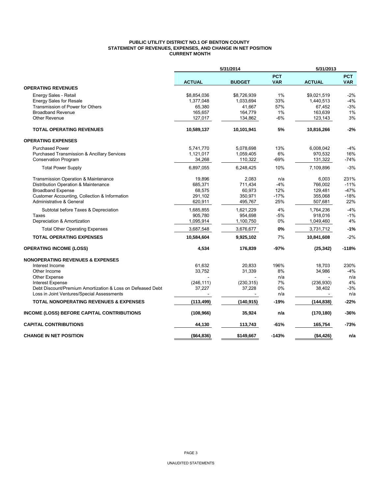## **PUBLIC UTILITY DISTRICT NO.1 OF BENTON COUNTY STATEMENT OF REVENUES, EXPENSES, AND CHANGE IN NET POSITION CURRENT MONTH**

|                                                            |                          | 5/31/2014     |                          | 5/31/2013                |                          |
|------------------------------------------------------------|--------------------------|---------------|--------------------------|--------------------------|--------------------------|
|                                                            | <b>ACTUAL</b>            | <b>BUDGET</b> | <b>PCT</b><br><b>VAR</b> | <b>ACTUAL</b>            | <b>PCT</b><br><b>VAR</b> |
| <b>OPERATING REVENUES</b>                                  |                          |               |                          |                          |                          |
| Energy Sales - Retail                                      | \$8,854,036              | \$8,726,939   | 1%                       | \$9,021,519              | $-2%$                    |
| <b>Energy Sales for Resale</b>                             | 1,377,048                | 1,033,694     | 33%                      | 1,440,513                | $-4%$                    |
| Transmission of Power for Others                           | 65,380                   | 41,667        | 57%                      | 67,452                   | $-3%$                    |
| <b>Broadband Revenue</b>                                   | 165,657                  | 164,779       | 1%                       | 163,639                  | 1%                       |
| <b>Other Revenue</b>                                       | 127,017                  | 134,862       | $-6%$                    | 123,143                  | 3%                       |
| <b>TOTAL OPERATING REVENUES</b>                            | 10,589,137               | 10,101,941    | 5%                       | 10,816,266               | $-2%$                    |
| <b>OPERATING EXPENSES</b>                                  |                          |               |                          |                          |                          |
| <b>Purchased Power</b>                                     | 5,741,770                | 5,078,698     | 13%                      | 6,008,042                | $-4%$                    |
| <b>Purchased Transmission &amp; Ancillary Services</b>     | 1,121,017                | 1,059,405     | 6%                       | 970,532                  | 16%                      |
| <b>Conservation Program</b>                                | 34,268                   | 110,322       | -69%                     | 131,322                  | $-74%$                   |
| <b>Total Power Supply</b>                                  | 6,897,055                | 6.248.425     | 10%                      | 7.109.896                | $-3%$                    |
| Transmission Operation & Maintenance                       | 19.896                   | 2.083         | n/a                      | 6.003                    | 231%                     |
| Distribution Operation & Maintenance                       | 685,371                  | 711,434       | $-4%$                    | 766,002                  | $-11%$                   |
| <b>Broadband Expense</b>                                   | 68,575                   | 60,973        | 12%                      | 129,481                  | $-47%$                   |
| Customer Accounting, Collection & Information              | 291,102                  | 350,971       | $-17%$                   | 355,068                  | $-18%$                   |
| Administrative & General                                   | 620,911                  | 495,767       | 25%                      | 507,681                  | 22%                      |
| Subtotal before Taxes & Depreciation                       | 1,685,855                | 1,621,229     | 4%                       | 1,764,236                | $-4%$                    |
| Taxes                                                      | 905,780                  | 954,698       | -5%                      | 918,016                  | $-1%$                    |
| Depreciation & Amortization                                | 1,095,914                | 1,100,750     | 0%                       | 1,049,460                | 4%                       |
| <b>Total Other Operating Expenses</b>                      | 3,687,548                | 3,676,677     | 0%                       | 3,731,712                | $-1%$                    |
| <b>TOTAL OPERATING EXPENSES</b>                            | 10,584,604               | 9,925,102     | 7%                       | 10,841,608               | $-2%$                    |
| <b>OPERATING INCOME (LOSS)</b>                             | 4,534                    | 176,839       | $-97%$                   | (25, 342)                | $-118%$                  |
| <b>NONOPERATING REVENUES &amp; EXPENSES</b>                |                          |               |                          |                          |                          |
| Interest Income                                            | 61,632                   | 20,833        | 196%                     | 18,703                   | 230%                     |
| Other Income                                               | 33,752                   | 31,339        | 8%                       | 34,986                   | $-4%$                    |
| <b>Other Expense</b>                                       |                          |               | n/a                      |                          | n/a                      |
| Interest Expense                                           | (246, 111)               | (230, 315)    | 7%                       | (236, 930)               | 4%                       |
| Debt Discount/Premium Amortization & Loss on Defeased Debt | 37,227                   | 37,228        | 0%                       | 38,402                   | $-3%$                    |
| Loss in Joint Ventures/Special Assessments                 | $\overline{\phantom{a}}$ |               | n/a                      | $\overline{\phantom{a}}$ | n/a                      |
| <b>TOTAL NONOPERATING REVENUES &amp; EXPENSES</b>          | (113, 499)               | (140, 915)    | -19%                     | (144, 838)               | $-22%$                   |
| <b>INCOME (LOSS) BEFORE CAPITAL CONTRIBUTIONS</b>          | (108, 966)               | 35,924        | n/a                      | (170, 180)               | -36%                     |
| <b>CAPITAL CONTRIBUTIONS</b>                               | 44,130                   | 113,743       | $-61%$                   | 165,754                  | $-73%$                   |
| <b>CHANGE IN NET POSITION</b>                              | (\$64,836)               | \$149,667     | $-143%$                  | (\$4,426)                | n/a                      |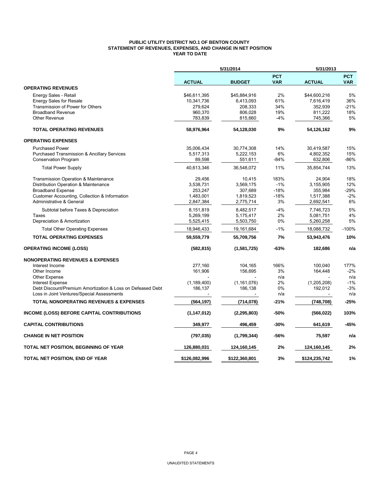## **PUBLIC UTILITY DISTRICT NO.1 OF BENTON COUNTY STATEMENT OF REVENUES, EXPENSES, AND CHANGE IN NET POSITION YEAR TO DATE**

|                                                            |               | 5/31/2014     |                          |               | 5/31/2013                |  |  |
|------------------------------------------------------------|---------------|---------------|--------------------------|---------------|--------------------------|--|--|
|                                                            | <b>ACTUAL</b> | <b>BUDGET</b> | <b>PCT</b><br><b>VAR</b> | <b>ACTUAL</b> | <b>PCT</b><br><b>VAR</b> |  |  |
| <b>OPERATING REVENUES</b>                                  |               |               |                          |               |                          |  |  |
| Energy Sales - Retail                                      | \$46,611,395  | \$45,884,916  | 2%                       | \$44,600,216  | 5%                       |  |  |
| <b>Energy Sales for Resale</b>                             | 10,341,736    | 6,413,093     | 61%                      | 7,616,419     | 36%                      |  |  |
| Transmission of Power for Others                           | 279,624       | 208,333       | 34%                      | 352,939       | $-21%$                   |  |  |
| <b>Broadband Revenue</b>                                   | 960,370       | 806,028       | 19%                      | 811,222       | 18%                      |  |  |
| <b>Other Revenue</b>                                       | 783,839       | 815,660       | $-4%$                    | 745,366       | 5%                       |  |  |
| <b>TOTAL OPERATING REVENUES</b>                            | 58,976,964    | 54,128,030    | 9%                       | 54,126,162    | 9%                       |  |  |
| <b>OPERATING EXPENSES</b>                                  |               |               |                          |               |                          |  |  |
| <b>Purchased Power</b>                                     | 35,006,434    | 30,774,308    | 14%                      | 30,419,587    | 15%                      |  |  |
| Purchased Transmission & Ancillary Services                | 5,517,313     | 5,222,153     | 6%                       | 4,802,352     | 15%                      |  |  |
| <b>Conservation Program</b>                                | 89,598        | 551,611       | $-84%$                   | 632,806       | -86%                     |  |  |
| <b>Total Power Supply</b>                                  | 40,613,346    | 36,548,072    | 11%                      | 35,854,744    | 13%                      |  |  |
| Transmission Operation & Maintenance                       | 29,456        | 10,415        | 183%                     | 24,904        | 18%                      |  |  |
| Distribution Operation & Maintenance                       | 3,538,731     | 3,569,175     | $-1%$                    | 3,155,905     | 12%                      |  |  |
| <b>Broadband Expense</b>                                   | 253,247       | 307,689       | $-18%$                   | 355,984       | -29%                     |  |  |
| Customer Accounting, Collection & Information              | 1,483,001     | 1,819,523     | $-18%$                   | 1,517,388     | $-2\%$                   |  |  |
| Administrative & General                                   | 2,847,384     | 2,775,714     | 3%                       | 2,692,541     | 6%                       |  |  |
| Subtotal before Taxes & Depreciation                       | 8,151,819     | 8,482,517     | $-4%$                    | 7,746,723     | 5%                       |  |  |
| Taxes                                                      | 5,269,199     | 5,175,417     | 2%                       | 5,081,751     | 4%                       |  |  |
| Depreciation & Amortization                                | 5,525,415     | 5,503,750     | 0%                       | 5,260,258     | 5%                       |  |  |
| <b>Total Other Operating Expenses</b>                      | 18,946,433    | 19,161,684    | $-1%$                    | 18,088,732    | $-100%$                  |  |  |
| <b>TOTAL OPERATING EXPENSES</b>                            | 59,559,779    | 55,709,756    | 7%                       | 53,943,476    | 10%                      |  |  |
| <b>OPERATING INCOME (LOSS)</b>                             | (582, 815)    | (1,581,725)   | $-63%$                   | 182,686       | n/a                      |  |  |
| <b>NONOPERATING REVENUES &amp; EXPENSES</b>                |               |               |                          |               |                          |  |  |
| Interest Income                                            | 277,160       | 104,165       | 166%                     | 100,040       | 177%                     |  |  |
| Other Income                                               | 161,906       | 156,695       | 3%                       | 164,448       | $-2%$                    |  |  |
| <b>Other Expense</b>                                       |               |               | n/a                      |               | n/a                      |  |  |
| <b>Interest Expense</b>                                    | (1, 189, 400) | (1, 161, 076) | 2%                       | (1,205,208)   | $-1%$                    |  |  |
| Debt Discount/Premium Amortization & Loss on Defeased Debt | 186,137       | 186,138       | 0%                       | 192,012       | $-3%$                    |  |  |
| Loss in Joint Ventures/Special Assessments                 |               |               | n/a                      |               | n/a                      |  |  |
| <b>TOTAL NONOPERATING REVENUES &amp; EXPENSES</b>          | (564, 197)    | (714, 078)    | -21%                     | (748, 708)    | $-25%$                   |  |  |
| INCOME (LOSS) BEFORE CAPITAL CONTRIBUTIONS                 | (1, 147, 012) | (2, 295, 803) | $-50%$                   | (566, 022)    | 103%                     |  |  |
| <b>CAPITAL CONTRIBUTIONS</b>                               | 349,977       | 496,459       | $-30%$                   | 641,619       | -45%                     |  |  |
| <b>CHANGE IN NET POSITION</b>                              | (797, 035)    | (1,799,344)   | -56%                     | 75,597        | n/a                      |  |  |
| TOTAL NET POSITION, BEGINNING OF YEAR                      | 126,880,031   | 124,160,145   | 2%                       | 124,160,145   | 2%                       |  |  |
| TOTAL NET POSITION, END OF YEAR                            | \$126,082,996 | \$122,360,801 | 3%                       | \$124,235,742 | 1%                       |  |  |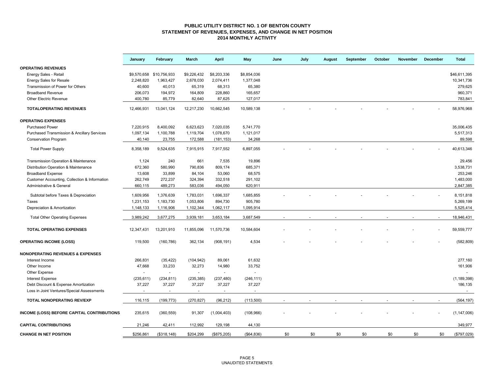#### **PUBLIC UTILITY DISTRICT NO. 1 OF BENTON COUNTY STATEMENT OF REVENUES, EXPENSES, AND CHANGE IN NET POSITION 2014 MONTHLY ACTIVITY**

|                                                        | January    | February                 | March                    | <b>April</b>   | <b>May</b>     | June | July | August | September | October | November | December | <b>Total</b>  |
|--------------------------------------------------------|------------|--------------------------|--------------------------|----------------|----------------|------|------|--------|-----------|---------|----------|----------|---------------|
| <b>OPERATING REVENUES</b>                              |            |                          |                          |                |                |      |      |        |           |         |          |          |               |
| Energy Sales - Retail                                  |            | \$9,570,658 \$10,756,933 | \$9,226,432              | \$8,203,336    | \$8,854,036    |      |      |        |           |         |          |          | \$46.611.395  |
| <b>Energy Sales for Resale</b>                         | 2,248,820  | 1,963,427                | 2,678,030                | 2,074,411      | 1,377,048      |      |      |        |           |         |          |          | 10,341,736    |
| Transmission of Power for Others                       | 40,600     | 40,013                   | 65,319                   | 68,313         | 65,380         |      |      |        |           |         |          |          | 279,625       |
| <b>Broadband Revenue</b>                               | 206,073    | 194,972                  | 164,809                  | 228,860        | 165,657        |      |      |        |           |         |          |          | 960,371       |
| <b>Other Electric Revenue</b>                          | 400,780    | 85,779                   | 82,640                   | 87,625         | 127,017        |      |      |        |           |         |          |          | 783,841       |
| <b>TOTALOPERATING REVENUES</b>                         | 12,466,931 | 13,041,124               | 12,217,230               | 10,662,545     | 10,589,138     |      |      |        |           |         |          |          | 58,976,968    |
| <b>OPERATING EXPENSES</b>                              |            |                          |                          |                |                |      |      |        |           |         |          |          |               |
| <b>Purchased Power</b>                                 | 7,220,915  | 8,400,092                | 6,623,623                | 7,020,035      | 5,741,770      |      |      |        |           |         |          |          | 35,006,435    |
| <b>Purchased Transmission &amp; Ancillary Services</b> | 1,097,134  | 1,100,788                | 1,119,704                | 1,078,670      | 1,121,017      |      |      |        |           |         |          |          | 5,517,313     |
| <b>Conservation Program</b>                            | 40,140     | 23,755                   | 172,588                  | (181, 153)     | 34,268         |      |      |        |           |         |          |          | 89,598        |
| <b>Total Power Supply</b>                              | 8,358,189  | 9,524,635                | 7,915,915                | 7,917,552      | 6,897,055      |      |      |        |           |         |          |          | 40,613,346    |
| Transmission Operation & Maintenance                   | 1,124      | 240                      | 661                      | 7,535          | 19,896         |      |      |        |           |         |          |          | 29,456        |
| Distribution Operation & Maintenance                   | 672,360    | 580,990                  | 790,836                  | 809,174        | 685,371        |      |      |        |           |         |          |          | 3,538,731     |
| <b>Broadband Expense</b>                               | 13,608     | 33,899                   | 84,104                   | 53,060         | 68,575         |      |      |        |           |         |          |          | 253,246       |
| Customer Accounting, Collection & Information          | 262,749    | 272,237                  | 324,394                  | 332,518        | 291,102        |      |      |        |           |         |          |          | 1,483,000     |
| Administrative & General                               | 660,115    | 489,273                  | 583,036                  | 494,050        | 620,911        |      |      |        |           |         |          |          | 2,847,385     |
|                                                        |            |                          |                          |                |                |      |      |        |           |         |          |          |               |
| Subtotal before Taxes & Depreciation                   | 1,609,956  | 1,376,639                | 1,783,031                | 1,696,337      | 1,685,855      |      |      |        |           |         |          |          | 8,151,818     |
| Taxes                                                  | 1,231,153  | 1,183,730                | 1,053,806                | 894,730        | 905,780        |      |      |        |           |         |          |          | 5,269,199     |
| Depreciation & Amortization                            | 1,148,133  | 1,116,906                | 1,102,344                | 1,062,117      | 1,095,914      |      |      |        |           |         |          |          | 5,525,414     |
| <b>Total Other Operating Expenses</b>                  | 3,989,242  | 3,677,275                | 3,939,181                | 3,653,184      | 3,687,549      |      |      |        |           |         |          |          | 18,946,431    |
| <b>TOTAL OPERATING EXPENSES</b>                        | 12,347,431 | 13,201,910               | 11,855,096               | 11,570,736     | 10,584,604     |      |      |        |           |         |          |          | 59,559,777    |
| <b>OPERATING INCOME (LOSS)</b>                         | 119,500    | (160, 786)               | 362,134                  | (908, 191)     | 4,534          |      |      |        |           |         |          |          | (582, 809)    |
| <b>NONOPERATING REVENUES &amp; EXPENSES</b>            |            |                          |                          |                |                |      |      |        |           |         |          |          |               |
| Interest Income                                        | 266,831    | (35, 422)                | (104, 942)               | 89,061         | 61,632         |      |      |        |           |         |          |          | 277,160       |
| Other Income                                           | 47,668     | 33,233                   | 32,273                   | 14,980         | 33,752         |      |      |        |           |         |          |          | 161,906       |
| Other Expense                                          | $\sim$     | $\sim$                   | $\overline{\phantom{a}}$ | $\blacksquare$ | $\blacksquare$ |      |      |        |           |         |          |          |               |
| <b>Interest Expense</b>                                | (235, 611) | (234, 811)               | (235, 385)               | (237, 480)     | (246, 111)     |      |      |        |           |         |          |          | (1, 189, 398) |
| Debt Discount & Expense Amortization                   | 37,227     | 37,227                   | 37,227                   | 37,227         | 37,227         |      |      |        |           |         |          |          | 186,135       |
| Loss in Joint Ventures/Special Assessments             | $\sim$     | $\blacksquare$           | $\sim$                   | $\sim$         |                |      |      |        |           |         |          |          | $\sim$        |
| <b>TOTAL NONOPERATING REV/EXP</b>                      | 116,115    | (199, 773)               | (270, 827)               | (96, 212)      | (113,500)      |      |      |        |           |         |          |          | (564, 197)    |
| INCOME (LOSS) BEFORE CAPITAL CONTRIBUTIONS             | 235,615    | (360, 559)               | 91,307                   | (1,004,403)    | (108, 966)     |      |      |        |           |         |          |          | (1, 147, 006) |
| <b>CAPITAL CONTRIBUTIONS</b>                           | 21,246     | 42,411                   | 112,992                  | 129,198        | 44,130         |      |      |        |           |         |          |          | 349,977       |
| <b>CHANGE IN NET POSITION</b>                          | \$256,861  | (\$318, 148)             | \$204,299                | (\$875,205)    | ( \$64, 836)   | \$0  | \$0  | \$0    | \$0       | \$0     | \$0      | \$0      | (\$797,029)   |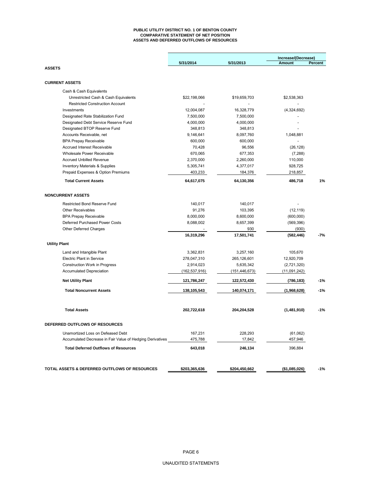#### **PUBLIC UTILITY DISTRICT NO. 1 OF BENTON COUNTY COMPARATIVE STATEMENT OF NET POSITION ASSETS AND DEFERRED OUTFLOWS OF RESOURCES**

|                                                                                                          | 5/31/2014          | 5/31/2013         | Increase/(Decrease)<br><b>Amount</b> | Percent |
|----------------------------------------------------------------------------------------------------------|--------------------|-------------------|--------------------------------------|---------|
| <b>ASSETS</b>                                                                                            |                    |                   |                                      |         |
| <b>CURRENT ASSETS</b>                                                                                    |                    |                   |                                      |         |
| Cash & Cash Equivalents                                                                                  |                    |                   |                                      |         |
| Unrestricted Cash & Cash Equivalents                                                                     | \$22,198,066       | \$19,659,703      | \$2,538,363                          |         |
| <b>Restricted Construction Account</b>                                                                   |                    |                   |                                      |         |
| Investments                                                                                              | 12,004,087         | 16,328,779        | (4,324,692)                          |         |
| Designated Rate Stabilization Fund                                                                       | 7,500,000          | 7,500,000         |                                      |         |
| Designated Debt Service Reserve Fund                                                                     | 4,000,000          | 4,000,000         |                                      |         |
| Designated BTOP Reserve Fund                                                                             | 348,813            | 348,813           |                                      |         |
| Accounts Receivable, net                                                                                 | 9,146,641          | 8,097,760         | 1,048,881                            |         |
| <b>BPA Prepay Receivable</b>                                                                             | 600,000            | 600,000           |                                      |         |
| <b>Accrued Interest Receivable</b>                                                                       | 70,428             | 96,556            | (26, 128)                            |         |
| Wholesale Power Receivable                                                                               | 670,065            | 677,353           | (7, 288)                             |         |
| <b>Accrued Unbilled Revenue</b>                                                                          | 2,370,000          | 2,260,000         | 110,000                              |         |
| <b>Inventory Materials &amp; Supplies</b>                                                                | 5,305,741          | 4,377,017         | 928,725                              |         |
| Prepaid Expenses & Option Premiums                                                                       | 403,233            | 184,376           | 218,857                              |         |
| <b>Total Current Assets</b>                                                                              | 64,617,075         | 64,130,356        | 486,718                              | 1%      |
| <b>NONCURRENT ASSETS</b>                                                                                 |                    |                   |                                      |         |
| Restricted Bond Reserve Fund                                                                             | 140,017            | 140,017           |                                      |         |
| <b>Other Receivables</b>                                                                                 | 91,276             | 103,395           | (12, 119)                            |         |
| <b>BPA Prepay Receivable</b>                                                                             | 8,000,000          | 8,600,000         | (600,000)                            |         |
| Deferred Purchased Power Costs                                                                           | 8,088,002          | 8,657,399         | (569, 396)                           |         |
| Other Deferred Charges                                                                                   |                    | 930               | (930)                                |         |
|                                                                                                          | 16,319,296         | 17,501,741        | (582, 446)                           | $-7%$   |
| <b>Utility Plant</b>                                                                                     |                    |                   |                                      |         |
| Land and Intangible Plant                                                                                | 3,362,831          | 3,257,160         | 105,670                              |         |
| <b>Electric Plant in Service</b>                                                                         | 278,047,310        | 265,126,601       | 12,920,709                           |         |
| Construction Work in Progress                                                                            | 2,914,023          | 5,635,342         | (2,721,320)                          |         |
| <b>Accumulated Depreciation</b>                                                                          | (162, 537, 916)    | (151, 446, 673)   | (11,091,242)                         |         |
| <b>Net Utility Plant</b>                                                                                 | 121,786,247        |                   |                                      | -1%     |
|                                                                                                          |                    | 122,572,430       | (786, 183)                           |         |
| <b>Total Noncurrent Assets</b>                                                                           | 138,105,543        | 140,074,171       | (1,968,628)                          | $-1%$   |
| <b>Total Assets</b>                                                                                      | 202,722,618        | 204,204,528       | (1,481,910)                          | $-1%$   |
| DEFERRED OUTFLOWS OF RESOURCES                                                                           |                    |                   |                                      |         |
|                                                                                                          |                    |                   |                                      |         |
| Unamortized Loss on Defeased Debt                                                                        | 167,231            | 228,293           | (61,062)                             |         |
| Accumulated Decrease in Fair Value of Hedging Derivatives<br><b>Total Deferred Outflows of Resources</b> | 475,788<br>643,018 | 17,842<br>246,134 | 457,946<br>396,884                   |         |
|                                                                                                          |                    |                   |                                      |         |
| TOTAL ASSETS & DEFERRED OUTFLOWS OF RESOURCES                                                            | \$203,365,636      | \$204,450,662     | (\$1,085,026)                        | $-1%$   |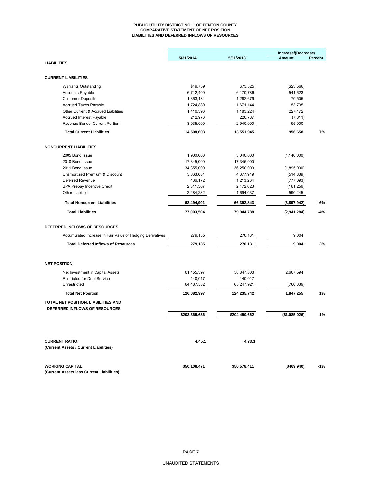#### **PUBLIC UTILITY DISTRICT NO. 1 OF BENTON COUNTY COMPARATIVE STATEMENT OF NET POSITION LIABILITIES AND DEFERRED INFLOWS OF RESOURCES**

|                                                                        | 5/31/2014            | 5/31/2013            | Increase/(Decrease)<br>Amount | Percent |
|------------------------------------------------------------------------|----------------------|----------------------|-------------------------------|---------|
| <b>LIABILITIES</b>                                                     |                      |                      |                               |         |
| <b>CURRENT LIABILITIES</b>                                             |                      |                      |                               |         |
|                                                                        |                      |                      |                               |         |
| <b>Warrants Outstanding</b>                                            | \$49,759             | \$73,325             | (\$23,566)                    |         |
| <b>Accounts Payable</b>                                                | 6,712,409            | 6,170,786            | 541,623                       |         |
| <b>Customer Deposits</b>                                               | 1,363,184            | 1,292,679            | 70,505                        |         |
| Accrued Taxes Payable                                                  | 1,724,880            | 1,671,144            | 53,735                        |         |
| Other Current & Accrued Liabilities<br><b>Accrued Interest Payable</b> | 1,410,396<br>212,976 | 1,183,224<br>220,787 | 227,172<br>(7, 811)           |         |
| Revenue Bonds, Current Portion                                         | 3,035,000            | 2,940,000            | 95,000                        |         |
| <b>Total Current Liabilities</b>                                       | 14,508,603           | 13,551,945           | 956,658                       | 7%      |
|                                                                        |                      |                      |                               |         |
| <b>NONCURRENT LIABILITIES</b>                                          |                      |                      |                               |         |
| 2005 Bond Issue                                                        | 1,900,000            | 3,040,000            | (1, 140, 000)                 |         |
| 2010 Bond Issue                                                        | 17,345,000           | 17,345,000           |                               |         |
| 2011 Bond Issue                                                        | 34,355,000           | 36,250,000           | (1,895,000)                   |         |
| Unamortized Premium & Discount                                         | 3,863,081            | 4,377,919            | (514, 839)                    |         |
| Deferred Revenue                                                       | 436,172              | 1,213,264            | (777, 093)                    |         |
| <b>BPA Prepay Incentive Credit</b>                                     | 2,311,367            | 2,472,623            | (161, 256)                    |         |
| <b>Other Liabilities</b>                                               | 2,284,282            | 1,694,037            | 590,245                       |         |
| <b>Total Noncurrent Liabilities</b>                                    | 62,494,901           | 66,392,843           | (3,897,942)                   | -6%     |
| <b>Total Liabilities</b>                                               | 77,003,504           | 79,944,788           | (2,941,284)                   | $-4%$   |
| DEFERRED INFLOWS OF RESOURCES                                          |                      |                      |                               |         |
| Accumulated Increase in Fair Value of Hedging Derivatives              | 279,135              | 270,131              | 9,004                         |         |
| <b>Total Deferred Inflows of Resources</b>                             | 279,135              | 270,131              | 9,004                         | 3%      |
| <b>NET POSITION</b>                                                    |                      |                      |                               |         |
| Net Investment in Capital Assets                                       | 61,455,397           | 58,847,803           | 2,607,594                     |         |
| <b>Restricted for Debt Service</b>                                     | 140,017              | 140,017              |                               |         |
| Unrestricted                                                           | 64,487,582           | 65,247,921           | (760, 339)                    |         |
| <b>Total Net Position</b>                                              | 126,082,997          | 124,235,742          | 1,847,255                     | 1%      |
| TOTAL NET POSITION, LIABILITIES AND                                    |                      |                      |                               |         |
| DEFERRED INFLOWS OF RESOURCES                                          |                      |                      |                               |         |
|                                                                        | \$203,365,636        | \$204,450,662        | (\$1,085,026)                 | $-1%$   |
|                                                                        |                      |                      |                               |         |
| <b>CURRENT RATIO:</b>                                                  | 4.45:1               | 4.73:1               |                               |         |
| (Current Assets / Current Liabilities)                                 |                      |                      |                               |         |
| <b>WORKING CAPITAL:</b>                                                | \$50,108,471         | \$50,578,411         | (\$469,940)                   | $-1%$   |
| (Current Assets less Current Liabilities)                              |                      |                      |                               |         |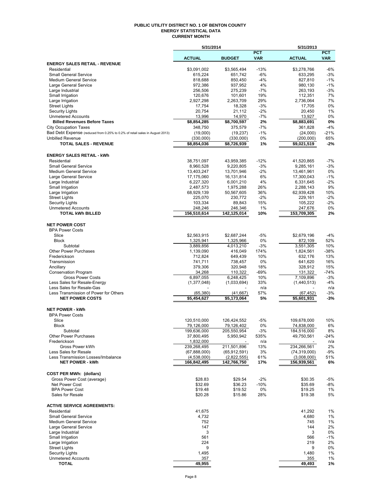#### **PUBLIC UTILITY DISTRICT NO. 1 OF BENTON COUNTY ENERGY STATISTICAL DATA CURRENT MONTH**

|                                                                              | 5/31/2014                   |                               |              | 5/31/2013                     |                 |
|------------------------------------------------------------------------------|-----------------------------|-------------------------------|--------------|-------------------------------|-----------------|
|                                                                              |                             |                               | <b>PCT</b>   |                               | <b>PCT</b>      |
| <b>ENERGY SALES RETAIL - REVENUE</b>                                         | <b>ACTUAL</b>               | <b>BUDGET</b>                 | <b>VAR</b>   | <b>ACTUAL</b>                 | <b>VAR</b>      |
| Residential                                                                  | \$3,091,002                 | \$3,565,494                   | $-13%$       | \$3,278,766                   | $-6%$           |
| <b>Small General Service</b>                                                 | 615,224                     | 651,742                       | $-6%$        | 633,295                       | $-3%$           |
| <b>Medium General Service</b>                                                | 818,688                     | 850,450                       | $-4%$        | 827,810                       | $-1%$           |
| Large General Service                                                        | 972,386                     | 937,952                       | 4%           | 980,130                       | $-1%$           |
| Large Industrial<br>Small Irrigation                                         | 256,506<br>120,676          | 275,239<br>101,601            | $-7%$<br>19% | 263,193                       | $-3%$<br>7%     |
| Large Irrigation                                                             | 2,927,298                   | 2,263,709                     | 29%          | 112,351<br>2,736,064          | 7%              |
| <b>Street Lights</b>                                                         | 17,754                      | 18,328                        | $-3%$        | 17,705                        | 0%              |
| <b>Security Lights</b>                                                       | 20,754                      | 21,112                        | $-2%$        | 20.450                        | 1%              |
| <b>Unmetered Accounts</b>                                                    | 13,996                      | 14,970                        | $-7%$        | 13,927                        | 0%              |
| <b>Billed Revenues Before Taxes</b>                                          | \$8,854,285                 | \$8,700,597                   | 2%           | \$8,883,691                   | 0%              |
| <b>City Occupation Taxes</b>                                                 | 348,750                     | 375,579                       | $-7%$        | 361,828                       | $-4%$           |
| Bad Debt Expense (reduced from 0.25% to 0.2% of retail sales in August 2013) | (19,000)                    | (19, 237)                     | $-1%$        | (24,000)                      | $-21%$          |
| <b>Unbilled Revenue</b><br><b>TOTAL SALES - REVENUE</b>                      | (330,000)<br>\$8,854,036    | (330,000)<br>\$8,726,939      | 0%<br>1%     | (200,000)<br>\$9,021,519      | 65%<br>$-2%$    |
|                                                                              |                             |                               |              |                               |                 |
| <b>ENERGY SALES RETAIL - kWh</b>                                             |                             |                               |              |                               |                 |
| Residential                                                                  | 38,751,097                  | 43,959,385                    | $-12%$       | 41,520,865                    | $-7%$           |
| <b>Small General Service</b>                                                 | 8,960,528                   | 9,220,805                     | $-3%$        | 9,285,161                     | $-3%$           |
| <b>Medium General Service</b>                                                | 13,403,247                  | 13,701,946                    | $-2%$        | 13,461,961                    | 0%              |
| Large General Service                                                        | 17,175,060                  | 16,131,814                    | 6%           | 17,300,043                    | $-1%$           |
| Large Industrial                                                             | 6,227,320                   | 6,001,210                     | 4%           | 6,331,645                     | $-2%$           |
| Small Irrigation<br>Large Irrigation                                         | 2,487,573<br>68,929,139     | 1,975,288<br>50,567,605       | 26%<br>36%   | 2,288,143<br>62,939,428       | 9%<br>10%       |
| <b>Street Lights</b>                                                         | 225,070                     | 230,772                       | $-2%$        | 229,161                       | $-2%$           |
| Security Lights                                                              | 103,334                     | 89,843                        | 15%          | 105,222                       | $-2%$           |
| <b>Unmetered Accounts</b>                                                    | 248,246                     | 246,346                       | 1%           | 247,676                       | 0%              |
| <b>TOTAL kWh BILLED</b>                                                      | 156,510,614                 | 142,125,014                   | 10%          | 153,709,305                   | 2%              |
|                                                                              |                             |                               |              |                               |                 |
| <b>NET POWER COST</b>                                                        |                             |                               |              |                               |                 |
| <b>BPA Power Costs</b><br>Slice                                              | \$2,563,915                 | \$2,687,244                   | $-5%$        | \$2,679,196                   | $-4%$           |
| <b>Block</b>                                                                 | 1,325,941                   | 1,325,966                     | 0%           | 872,109                       | 52%             |
| Subtotal                                                                     | 3,889,856                   | 4,013,210                     | $-3%$        | 3,551,305                     | 10%             |
| <b>Other Power Purchases</b>                                                 | 1,139,090                   | 416,049                       | 174%         | 1,824,561                     | -38%            |
| Frederickson                                                                 | 712,824                     | 649,439                       | 10%          | 632,176                       | 13%             |
| Transmission                                                                 | 741,711                     | 738,457                       | 0%           | 641,620                       | 16%             |
| Ancillary                                                                    | 379,306                     | 320,948                       | 18%          | 328,912                       | 15%             |
| <b>Conservation Program</b><br><b>Gross Power Costs</b>                      | 34,268<br>6,897,055         | 110,322<br>6,248,425          | -69%<br>10%  | 131,322<br>7,109,896          | $-74%$<br>$-3%$ |
| Less Sales for Resale-Energy                                                 | (1, 377, 048)               | (1,033,694)                   | 33%          | (1,440,513)                   | $-4%$           |
| Less Sales for Resale-Gas                                                    |                             |                               | n/a          |                               | n/a             |
| Less Transmission of Power for Others                                        | (65, 380)                   | (41, 667)                     | 57%          | (67, 452)                     | -3%             |
| <b>NET POWER COSTS</b>                                                       | \$5,454,627                 | \$5,173,064                   | 5%           | \$5.601.931                   | $-3%$           |
| <b>NET POWER - kWh</b>                                                       |                             |                               |              |                               |                 |
| <b>BPA Power Costs</b>                                                       |                             |                               |              |                               |                 |
| Slice                                                                        | 120,510,000                 | 126,424,552                   | $-5%$        | 109,678,000                   | 10%             |
| <b>Block</b>                                                                 | 79,126,000                  | 79,126,402                    | 0%           | 74,838,000                    | 6%              |
| Subtotal                                                                     | 199,636,000                 | 205,550,954                   | $-3%$        | 184,516,000                   | 8%              |
| <b>Other Power Purchases</b>                                                 | 37,800,495                  | 5,950,942                     | 535%         | 49,750,561                    | -24%            |
| Frederickson                                                                 | 1,832,000                   |                               | n/a          |                               | n/a             |
| Gross Power kWh<br>Less Sales for Resale                                     | 239,268,495                 | 211,501,896                   | 13%          | 234,266,561<br>(74, 319, 000) | 2%              |
| Less Transmission Losses/Imbalance                                           | (67,888,000)<br>(4,538,000) | (65, 912, 591)<br>(2,822,555) | 3%<br>61%    | (3,008,000)                   | -9%<br>51%      |
| <b>NET POWER - kWh</b>                                                       | 166,842,495                 | 142,766,750                   | 17%          | 156,939,561                   | 6%              |
|                                                                              |                             |                               |              |                               |                 |
| <b>COST PER MWh: (dollars)</b>                                               |                             |                               |              |                               |                 |
| Gross Power Cost (average)                                                   | \$28.83                     | \$29.54                       | $-2%$        | \$30.35                       | -5%             |
| Net Power Cost                                                               | \$32.69                     | \$36.23                       | $-10%$       | \$35.69                       | -8%             |
| <b>BPA Power Cost</b><br>Sales for Resale                                    | \$19.48<br>\$20.28          | \$19.52<br>\$15.86            | 0%<br>28%    | \$19.25<br>\$19.38            | 1%<br>5%        |
|                                                                              |                             |                               |              |                               |                 |
| <b>ACTIVE SERVICE AGREEMENTS:</b>                                            |                             |                               |              |                               |                 |
| Residential                                                                  | 41,675                      |                               |              | 41,292                        | 1%              |
| <b>Small General Service</b>                                                 | 4,732                       |                               |              | 4,680                         | 1%              |
| <b>Medium General Service</b>                                                | 752                         |                               |              | 745                           | 1%              |
| Large General Service                                                        | 147                         |                               |              | 144                           | 2%              |
| Large Industrial                                                             | 3<br>561                    |                               |              | 3<br>566                      | 0%              |
| Small Irrigation<br>Large Irrigation                                         | 224                         |                               |              | 219                           | $-1%$<br>2%     |
| <b>Street Lights</b>                                                         | 9                           |                               |              | 9                             | 0%              |
| <b>Security Lights</b>                                                       | 1,495                       |                               |              | 1,480                         | 1%              |
| <b>Unmetered Accounts</b>                                                    | 357                         |                               |              | 355                           | 1%              |
| <b>TOTAL</b>                                                                 | 49,955                      |                               |              | 49,493                        | 1%              |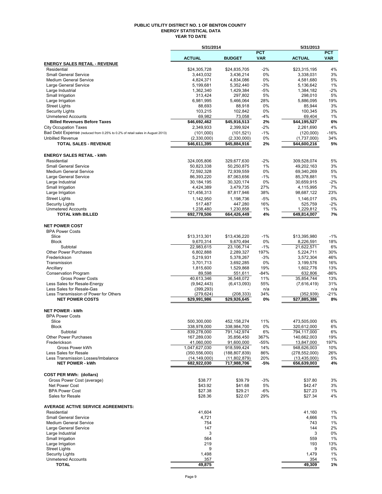#### **PUBLIC UTILITY DISTRICT NO. 1 OF BENTON COUNTY ENERGY STATISTICAL DATA YEAR TO DATE**

|                                                                              | 5/31/2014                     |                             |                          | 5/31/2013                     |                          |
|------------------------------------------------------------------------------|-------------------------------|-----------------------------|--------------------------|-------------------------------|--------------------------|
|                                                                              | <b>ACTUAL</b>                 | <b>BUDGET</b>               | <b>PCT</b><br><b>VAR</b> | <b>ACTUAL</b>                 | <b>PCT</b><br><b>VAR</b> |
| <b>ENERGY SALES RETAIL - REVENUE</b>                                         |                               |                             |                          |                               |                          |
| Residential                                                                  | \$24.305.728                  | \$24,835,705                | $-2%$                    | \$23,315,195                  | 4%                       |
| <b>Small General Service</b>                                                 | 3,443,032                     | 3,436,214                   | 0%                       | 3,338,031                     | 3%                       |
| <b>Medium General Service</b>                                                | 4,824,371                     | 4,834,086                   | $0\%$                    | 4,581,680                     | 5%                       |
| Large General Service<br>Large Industrial                                    | 5,199,681<br>1,362,340        | 5,352,440<br>1,429,384      | $-3%$<br>-5%             | 5,136,642<br>1,384,182        | 1%<br>$-2%$              |
| Small Irrigation                                                             | 313,424                       | 297,802                     | 5%                       | 298,010                       | 5%                       |
| Large Irrigation                                                             | 6,981,995                     | 5,466,064                   | 28%                      | 5,886,095                     | 19%                      |
| <b>Street Lights</b>                                                         | 88,693                        | 88,918                      | 0%                       | 85,944                        | 3%                       |
| <b>Security Lights</b>                                                       | 103,215                       | 102,842                     | 0%                       | 100.345                       | 3%                       |
| <b>Unmetered Accounts</b><br><b>Billed Revenues Before Taxes</b>             | 69,982<br>\$46,692,462        | 73,058<br>\$45,916,513      | -4%<br>2%                | 69,404<br>\$44,195,527        | 1%<br>6%                 |
| <b>City Occupation Taxes</b>                                                 | 2,349,933                     | 2.399.924                   | $-2%$                    | 2,261,690                     | 4%                       |
| Bad Debt Expense (reduced from 0.25% to 0.2% of retail sales in August 2013) | (101,000)                     | (101, 521)                  | $-1%$                    | (120,000)                     | $-16%$                   |
| <b>Unbilled Revenue</b>                                                      | (2,330,000)                   | (2,330,000)                 | 0%                       | (1,737,000)                   | 34%                      |
| <b>TOTAL SALES - REVENUE</b>                                                 | \$46,611,395                  | \$45,884,916                | 2%                       | \$44,600,216                  | 5%                       |
| <b>ENERGY SALES RETAIL - kWh</b>                                             |                               |                             |                          |                               |                          |
| Residential                                                                  | 324,005,806                   | 329,677,630                 | $-2%$                    | 309,528,074                   | 5%                       |
| <b>Small General Service</b>                                                 | 50,823,338                    | 50,250,875                  | 1%                       | 49,202,163                    | 3%                       |
| <b>Medium General Service</b>                                                | 72,592,328                    | 72,939,559                  | $0\%$                    | 69,340,269                    | 5%                       |
| Large General Service<br>Large Industrial                                    | 86,393,220<br>30,184,195      | 87,063,656<br>30,320,174    | $-1%$<br>0%              | 85.378.881<br>30,659,915      | 1%<br>$-2%$              |
| Small Irrigation                                                             | 4,424,389                     | 3,479,735                   | 27%                      | 4,115,995                     | 7%                       |
| Large Irrigation                                                             | 121,456,313                   | 87,817,946                  | 38%                      | 98,687,122                    | 23%                      |
| <b>Street Lights</b>                                                         | 1,142,950                     | 1,198,736                   | $-5%$                    | 1,146,017                     | 0%                       |
| <b>Security Lights</b>                                                       | 517,487                       | 447,280                     | 16%                      | 525,759                       | $-2%$                    |
| <b>Unmetered Accounts</b>                                                    | 1,238,480                     | 1,230,858                   | $1\%$                    | 1,229,812                     | 1%                       |
| <b>TOTAL kWh BILLED</b>                                                      | 692,778,506                   | 664,426,449                 | 4%                       | 649,814,007                   | 7%                       |
| <b>NET POWER COST</b>                                                        |                               |                             |                          |                               |                          |
| <b>BPA Power Costs</b>                                                       |                               |                             |                          |                               |                          |
| Slice<br><b>Block</b>                                                        | \$13,313,301<br>9,670,314     | \$13,436,220<br>9,670,494   | $-1%$<br>0%              | \$13,395,980<br>8,226,591     | $-1%$<br>18%             |
| Subtotal                                                                     | 22,983,615                    | 23,106,714                  | $-1%$                    | 21,622,571                    | 6%                       |
| <b>Other Power Purchases</b>                                                 | 6,802,888                     | 2,289,327                   | 197%                     | 5,224,711                     | 30%                      |
| Frederickson                                                                 | 5,219,931                     | 5,378,267                   | -3%                      | 3,572,304                     | 46%                      |
| Transmission                                                                 | 3,701,713                     | 3,692,285                   | 0%                       | 3,199,576                     | 16%                      |
| Ancillary                                                                    | 1,815,600                     | 1,529,868                   | 19%                      | 1,602,776                     | 13%                      |
| <b>Conservation Program</b>                                                  | 89,598                        | 551,611                     | $-84%$                   | 632,806                       | $-86%$                   |
| <b>Gross Power Costs</b><br>Less Sales for Resale-Energy                     | 40,613,346                    | 36,548,072                  | 11%<br>55%               | 35,854,744                    | 13%<br>31%               |
| Less Sales for Resale-Gas                                                    | (9,942,443)<br>(399, 293)     | (6,413,093)                 | n/a                      | (7,616,419)                   | n/a                      |
| Less Transmission of Power for Others                                        | (279, 624)                    | (208, 333)                  | 34%                      | (352, 939)                    | $-21%$                   |
| <b>NET POWER COSTS</b>                                                       | \$29,991,986                  | \$29,926,645                | 0%                       | $\overline{$27,885,386}$      | 8%                       |
| <b>NET POWER - kWh</b>                                                       |                               |                             |                          |                               |                          |
| <b>BPA Power Costs</b>                                                       |                               |                             |                          |                               |                          |
| Slice                                                                        | 500,300,000                   | 452,158,274                 | 11%                      | 473,505,000                   | 6%                       |
| Block<br>Subtotal                                                            | 338,978,000<br>839,278,000    | 338,984,700<br>791,142,974  | 0%<br>6%                 | 320,612,000<br>794,117,000    | 6%<br>6%                 |
| <b>Other Power Purchases</b>                                                 | 167,289,030                   | 35,856,450                  | 367%                     | 140,662,003                   | 19%                      |
| Frederickson                                                                 | 41,060,000                    | 91,600,000                  | $-55%$                   | 13,847,000                    | 197%                     |
| Gross Power kWh                                                              | 1,047,627,030                 | 918,599,424                 | 14%                      | 948,626,003                   | 10%                      |
| Less Sales for Resale                                                        | (350, 556, 000)               | (188, 807, 839)             | 86%                      | (278, 552, 000)               | 26%                      |
| Less Transmission Losses/Imbalance<br><b>NET POWER - kWh</b>                 | (14, 149, 000)<br>682,922,030 | (11,802,879)<br>717,988,706 | 20%<br>-5%               | (13, 435, 000)<br>656,639,003 | 5%<br>4%                 |
|                                                                              |                               |                             |                          |                               |                          |
| <b>COST PER MWh: (dollars)</b><br>Gross Power Cost (average)                 | \$38.77                       | \$39.79                     | $-3%$                    | \$37.80                       | 3%                       |
| Net Power Cost                                                               | \$43.92                       | \$41.68                     | 5%                       | \$42.47                       | 3%                       |
| <b>BPA Power Cost</b>                                                        | \$27.38                       | \$29.21                     | -6%                      | \$27.23                       | 1%                       |
| Sales for Resale                                                             | \$28.36                       | \$22.07                     | 29%                      | \$27.34                       | 4%                       |
| <b>AVERAGE ACTIVE SERVICE AGREEMENTS:</b>                                    |                               |                             |                          |                               |                          |
| Residential                                                                  | 41,604                        |                             |                          | 41,160                        | 1%                       |
| <b>Small General Service</b>                                                 | 4,721                         |                             |                          | 4,666                         | 1%                       |
| <b>Medium General Service</b><br>Large General Service                       | 754<br>147                    |                             |                          | 743<br>144                    | 1%<br>2%                 |
| Large Industrial                                                             | 3                             |                             |                          | 3                             | 0%                       |
| Small Irrigation                                                             | 564                           |                             |                          | 559                           | 1%                       |
| Large Irrigation                                                             | 219                           |                             |                          | 193                           | 13%                      |
| <b>Street Lights</b>                                                         | 9                             |                             |                          | 9                             | 0%                       |
| <b>Security Lights</b>                                                       | 1,498                         |                             |                          | 1,479                         | 1%                       |
| <b>Unmetered Accounts</b>                                                    | 357                           |                             |                          | 354                           | 1%                       |
| <b>TOTAL</b>                                                                 | 49,875                        |                             |                          | 49,309                        | 1%                       |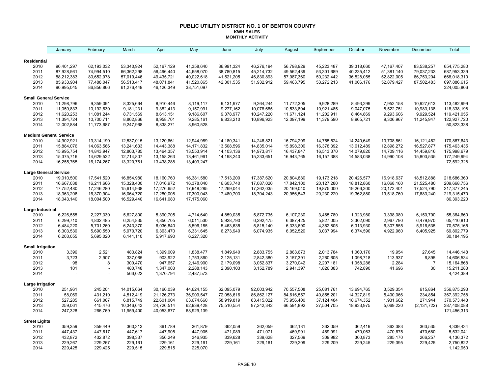#### **PUBLIC UTILITY DISTRICT NO. 1 OF BENTON COUNTY KWH SALES MONTHLY ACTIVITY**

|                               | January                | February               | March                    | April                    | May                    | June                   | July                   | August                 | September              | October                | November               | December               | Total                     |
|-------------------------------|------------------------|------------------------|--------------------------|--------------------------|------------------------|------------------------|------------------------|------------------------|------------------------|------------------------|------------------------|------------------------|---------------------------|
|                               |                        |                        |                          |                          |                        |                        |                        |                        |                        |                        |                        |                        |                           |
| Residential<br>2010           | 90,401,297             | 62,193,032             | 53,340,924               | 52,167,129               | 41,358,640             | 36,991,324             | 46,276,194             | 56,798,929             | 45,223,487             | 39,318,660             | 47, 167, 407           | 83,538,257             | 654,775,280               |
| 2011                          | 87,928,561             | 74,994,510             | 66,362,298               | 56,496,440               | 44,658,070             | 38,780,815             | 45,214,732             | 49,562,439             | 53,301,689             | 40,235,412             | 51,381,140             | 79,037,233             | 687,953,339               |
| 2012                          | 88,212,383             | 80,652,978             | 57,019,446               | 49,435,721               | 40,022,618             | 41,521,205             | 46,830,893             | 57,987,360             | 50,232,442             | 36,528,055             | 52,822,005             | 66,753,204             | 668,018,310               |
| 2013                          | 85,933,904             | 77,488,047             | 56,513,417               | 48,071,841               | 41,520,865             | 42,301,535             | 51,932,912             | 59,463,795             | 53,272,213             | 41,006,176             | 52,879,427             | 87,502,483             | 697,886,615               |
| 2014                          | 90,995,045             | 86,856,866             | 61,276,449               | 46,126,349               | 38,751,097             |                        |                        |                        |                        |                        |                        |                        | 324,005,806               |
| <b>Small General Service</b>  |                        |                        |                          |                          |                        |                        |                        |                        |                        |                        |                        |                        |                           |
| 2010                          | 11,298,796             | 9,359,091              | 8,325,664                | 8,910,446                | 8,119,117              | 9,131,977              | 9,264,244              | 11,772,305             | 9,928,289              | 8,493,299              | 7,952,158              | 10,927,613             | 113,482,999               |
| 2011                          | 11,059,833             | 10,192,630             | 9,181,231                | 9,382,413                | 9,157,991              | 9,277,162              | 10,078,685             | 10,533,804             | 10,921,485             | 9,047,075              | 8,522,751              | 10,983,138             | 118,338,198               |
| 2012                          | 11,620,253             | 11,081,244             | 8,731,569                | 8,613,151                | 9,186,607              | 9,378,977              | 10,247,220             | 11,671,124             | 11,202,911             | 8,464,869              | 9,293,606              | 9,929,524              | 119,421,055               |
| 2013                          | 11,394,724             | 10,700,711             | 8,862,866                | 8,958,701                | 9,285,161              | 9,833,210              | 10,896,923             | 12,097,199             | 11,379,590             | 8,965,721              | 9,306,967              | 11,245,947             | 122,927,720               |
| 2014                          | 12,002,884             | 11,773,687             | 9,247,968                | 8,838,271                | 8,960,528              |                        |                        |                        |                        |                        |                        |                        | 50,823,338                |
| <b>Medium General Service</b> |                        |                        |                          |                          |                        |                        |                        |                        |                        |                        |                        |                        |                           |
| 2010                          | 14,902,921             | 13,314,190             | 12,537,015               | 13,120,661               | 12,944,989             | 14,180,341             | 14,246,821             | 16,794,209             | 14,755,524             | 14,240,649             | 13,708,861             | 16,121,462             | 170,867,643               |
| 2011                          | 15,884,076             | 14,063,566             | 13,241,633               | 14,443,388               | 14, 171, 832           | 13,508,596             | 14,835,014             | 15,898,300             | 16,378,392             | 13,612,489             | 12,898,272             | 16,527,877             | 175,463,435               |
| 2012                          | 15,995,754             | 14,843,947             | 12,863,785               | 13,464,357               | 13,553,914             | 14,103,136             | 14,973,817             | 16,437,847             | 16,513,370             | 14,079,820             | 14,709,116             | 14,459,816             | 175,998,679               |
| 2013                          | 15,375,716             | 14,629,522             | 12,714,807               | 13,158,263               | 13,461,961             | 14,198,240             | 15,233,651             | 16,943,765             | 16, 157, 388           | 14,583,038             | 14,990,108             | 15,803,535             | 177,249,994               |
| 2014                          | 16,255,765             | 16,174,267             | 13,320,761               | 13,438,288               | 13,403,247             |                        |                        |                        |                        |                        |                        |                        | 72,592,328                |
| Large General Service         |                        |                        |                          |                          |                        |                        |                        |                        |                        |                        |                        |                        |                           |
| 2010                          | 19,010,500             | 17,541,520             | 16,854,980               | 18,160,760               | 16,381,580             | 17,513,200             | 17,387,620             | 20,804,880             | 19,173,218             | 20,426,577             | 16,918,637             | 18,512,888             | 218,686,360               |
| 2011                          | 16,667,038             | 16,211,666             | 15,328,400               | 17,016,972               | 16,378,040             | 16,603,740             | 17,087,020             | 17,842,100             | 20,127,280             | 18,812,860             | 16,068,160             | 21,525,480             | 209,668,756               |
| 2012                          | 17,752,480             | 17,246,280             | 15,614,938               | 17,276,652               | 17,948,285             | 17,269,044             | 17,262,035             | 20,169,040             | 19,875,000             | 19,266,300             | 20,172,401             | 17,524,790             | 217,377,245               |
| 2013<br>2014                  | 18,363,206             | 16,370,904             | 16,064,720<br>16,529,440 | 17,280,008<br>16,641,080 | 17,300,043             | 17,480,703             | 18,704,243             | 20,956,543             | 20,230,220             | 19,362,880             | 19,518,760             | 17,683,240             | 219,315,470<br>86,393,220 |
|                               | 18,043,140             | 18,004,500             |                          |                          | 17,175,060             |                        |                        |                        |                        |                        |                        |                        |                           |
| Large Industrial              |                        |                        |                          |                          |                        |                        |                        |                        |                        |                        |                        |                        |                           |
| 2010                          | 6,226,555              | 2,227,330              | 5,627,800                | 5,390,705                | 4,714,640              | 4,859,035              | 5,872,735              | 6,107,230              | 3,465,780              | 1,323,980              | 3,398,080              | 6,150,790              | 55,364,660                |
| 2011<br>2012                  | 6,299,710<br>6,484,220 | 4,802,485<br>5,701,260 | 6,254,835<br>6,243,370   | 4,856,705<br>6,036,840   | 6,011,530<br>5,596,185 | 5,928,790<br>5,463,635 | 6,292,475<br>5,815,140 | 6,387,425<br>6,333,690 | 5,827,005<br>4,362,805 | 3,302,090<br>6,313,930 | 2,967,790<br>6,307,555 | 6,479,970<br>5,916,535 | 65,410,810<br>70,575,165  |
| 2013                          | 6,303,530              | 5,690,550              | 5,970,720                | 6,363,470                | 6,331,645              | 6,273,940              | 6,074,935              | 6,052,520              | 3,037,994              | 6,374,590              | 4,922,960              | 6,405,925              | 69,802,779                |
| 2014                          | 6,203,055              | 5,695,020              | 6,141,110                | 5,917,690                | 6,227,320              |                        |                        |                        |                        |                        |                        |                        | 30, 184, 195              |
| <b>Small Irrigation</b>       |                        |                        |                          |                          |                        |                        |                        |                        |                        |                        |                        |                        |                           |
| 2010                          | 3,396                  | 2,521                  | 483,824                  | 1,399,009                | 1,838,477              | 1,849,940              | 2,883,755              | 2,863,673              | 2,013,784              | 1,060,170              | 19,954                 | 27,645                 | 14,446,148                |
| 2011                          | 3,723                  | 2,907                  | 337,065                  | 903,922                  | 1,753,860              | 2,125,131              | 2,842,380              | 3,157,391              | 2,260,605              | 1,098,718              | 113,937                | 6,895                  | 14,606,534                |
| 2012                          | 98                     | 8                      | 300,470                  | 947,657                  | 2,146,900              | 2,179,098              | 3,052,837              | 3,270,042              | 2,207,181              | 1,058,286              | 2,284                  | $\overline{7}$         | 15,164,868                |
| 2013                          | 101                    |                        | 480,748                  | 1,347,003                | 2,288,143              | 2,390,103              | 3,152,789              | 2,941,397              | 1,826,383              | 742,890                | 41,696                 | 30                     | 15,211,283                |
| 2014                          |                        |                        | 566,022                  | 1,370,794                | 2,487,573              |                        |                        |                        |                        |                        |                        |                        | 4,424,389                 |
| Large Irrigation              |                        |                        |                          |                          |                        |                        |                        |                        |                        |                        |                        |                        |                           |
| 2010                          | 251,961                | 245,201                | 14,015,664               | 30,160,039               | 44,624,155             | 62,095,079             | 92,003,942             | 70,557,508             | 25,081,761             | 13,694,765             | 3,529,354              | 615,864                | 356,875,293               |
| 2011                          | 58,069                 | 431,210                | 4,512,419                | 21,126,273               | 36,909,547             | 72,058,616             | 86,862,127             | 84,616,557             | 40,855,201             | 14,327,819             | 5,400,066              | 234,854                | 367,392,758               |
| 2012                          | 527,285                | 661,067                | 6,815,749                | 22,601,004               | 63,674,660             | 58,919,819             | 83,415,022             | 75,956,400             | 37,124,484             | 18,674,352             | 1,931,662              | 271,944                | 370,573,448               |
| 2013                          | 259,061                | 415,476                | 10,346,643               | 24,726,514               | 62,939,428             | 75,510,554             | 97,242,342             | 66,591,892             | 27,504,705             | 18,933,975             | 5,069,220              | (2, 131, 722)          | 387,408,088               |
| 2014                          | 247,328                | 266,769                | 11,959,400               | 40,053,677               | 68,929,139             |                        |                        |                        |                        |                        |                        |                        | 121,456,313               |
| <b>Street Lights</b>          |                        |                        |                          |                          |                        |                        |                        |                        |                        |                        |                        |                        |                           |
| 2010                          | 359,359                | 359,449                | 360,313                  | 361,789                  | 361,879                | 362,059                | 362,059                | 362,131                | 362,059                | 362,419                | 362,383                | 363,535                | 4,339,434                 |
| 2011                          | 447,437                | 447,617                | 447,617                  | 447,905                  | 447,905                | 471,089                | 471,071                | 469,991                | 469,991                | 470,063                | 470,675                | 470,680                | 5,532,041                 |
| 2012                          | 432,872                | 432,872                | 398,337                  | 356,249                  | 346,935                | 339,628                | 339,628                | 327,569                | 309,982                | 300,873                | 285,170                | 266,257                | 4,136,372                 |
| 2013                          | 229,267                | 229,267                | 229,161                  | 229,161                  | 229,161                | 229,161                | 229,161                | 229,209                | 229,209                | 229,245                | 229,395                | 229,425                | 2,750,822                 |
| 2014                          | 229,425                | 229,425                | 229,515                  | 229,515                  | 225,070                |                        |                        |                        |                        |                        |                        |                        | 1,142,950                 |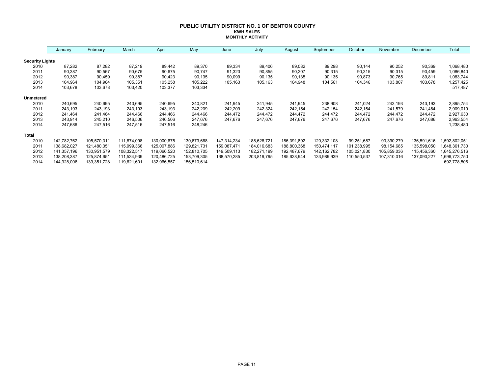#### **PUBLIC UTILITY DISTRICT NO. 1 OF BENTON COUNTY KWH SALES MONTHLY ACTIVITY**

|                        | January     | February    | March       | April       | May         | June        | July        | August      | September     | October     | November    | December    | Total        |
|------------------------|-------------|-------------|-------------|-------------|-------------|-------------|-------------|-------------|---------------|-------------|-------------|-------------|--------------|
| <b>Security Lights</b> |             |             |             |             |             |             |             |             |               |             |             |             |              |
| 2010                   | 87,282      | 87,282      | 87,219      | 89,442      | 89,370      | 89,334      | 89,406      | 89,082      | 89,298        | 90,144      | 90,252      | 90,369      | 1,068,480    |
| 2011                   | 90,387      | 90,567      | 90,675      | 90,675      | 90,747      | 91,323      | 90,855      | 90,207      | 90,315        | 90,315      | 90,315      | 90,459      | 1,086,840    |
| 2012                   | 90,387      | 90,459      | 90,387      | 90,423      | 90,135      | 90,099      | 90,135      | 90,135      | 90,135        | 90,873      | 90,765      | 89,811      | 1,083,744    |
| 2013                   | 104,964     | 104,964     | 105,351     | 105,258     | 105,222     | 105,163     | 105,163     | 104,948     | 104,561       | 104,346     | 103,807     | 103,678     | 1,257,425    |
| 2014                   | 103,678     | 103,678     | 103,420     | 103,377     | 103,334     |             |             |             |               |             |             |             | 517,487      |
| <b>Unmetered</b>       |             |             |             |             |             |             |             |             |               |             |             |             |              |
| 2010                   | 240,695     | 240,695     | 240,695     | 240,695     | 240,821     | 241,945     | 241,945     | 241,945     | 238,908       | 241,024     | 243,193     | 243,193     | 2,895,754    |
| 2011                   | 243,193     | 243,193     | 243,193     | 243,193     | 242,209     | 242,209     | 242,324     | 242,154     | 242,154       | 242,154     | 241,579     | 241,464     | 2,909,019    |
| 2012                   | 241,464     | 241,464     | 244,466     | 244,466     | 244,466     | 244,472     | 244,472     | 244,472     | 244,472       | 244,472     | 244,472     | 244,472     | 2,927,630    |
| 2013                   | 243,914     | 245,210     | 246,506     | 246,506     | 247,676     | 247,676     | 247,676     | 247,676     | 247,676       | 247,676     | 247,676     | 247,686     | 2,963,554    |
| 2014                   | 247,686     | 247,516     | 247,516     | 247,516     | 248,246     |             |             |             |               |             |             |             | 1,238,480    |
| <b>Total</b>           |             |             |             |             |             |             |             |             |               |             |             |             |              |
| 2010                   | 142,782,762 | 105,570,311 | 111,874,098 | 130,000,675 | 130,673,668 | 147,314,234 | 188,628,721 | 186,391,892 | 120,332,108   | 99,251,687  | 93,390,279  | 136,591,616 | ,592,802,051 |
| 2011                   | 138,682,027 | 121,480,351 | 115,999,366 | 125,007,886 | 129,821,731 | 159,087,471 | 184,016,683 | 188,800,368 | 150,474,117   | 101,238,995 | 98,154,685  | 135,598,050 | 648,361,730  |
| 2012                   | 141,357,196 | 130,951,579 | 108,322,517 | 119,066,520 | 152,810,705 | 149,509,113 | 182,271,199 | 192,487,679 | 142, 162, 782 | 105,021,830 | 105,859,036 | 115,456,360 | 645,276,516  |
| 2013                   | 138,208,387 | 125,874,651 | 111,534,939 | 120,486,725 | 153,709,305 | 168,570,285 | 203,819,795 | 185,628,944 | 133,989,939   | 110,550,537 | 107,310,016 | 137,090,227 | 696,773,750  |
| 2014                   | 144,328,006 | 139,351,728 | 119,621,601 | 132,966,557 | 156,510,614 |             |             |             |               |             |             |             | 692,778,506  |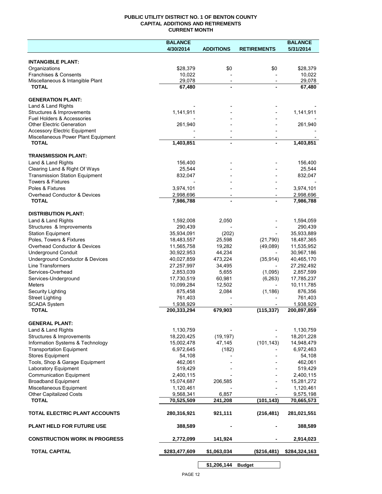## **PUBLIC UTILITY DISTRICT NO. 1 OF BENTON COUNTY CAPITAL ADDITIONS AND RETIREMENTS CURRENT MONTH**

|                                                         | <b>BALANCE</b>           |                          |                          | <b>BALANCE</b>           |
|---------------------------------------------------------|--------------------------|--------------------------|--------------------------|--------------------------|
|                                                         | 4/30/2014                | <b>ADDITIONS</b>         | <b>RETIREMENTS</b>       | 5/31/2014                |
| <b>INTANGIBLE PLANT:</b>                                |                          |                          |                          |                          |
| Organizations                                           | \$28,379                 | \$0                      | \$0                      | \$28,379                 |
| Franchises & Consents                                   | 10,022                   |                          |                          | 10,022                   |
| Miscellaneous & Intangible Plant                        | 29,078                   | $\overline{\phantom{a}}$ | $\overline{\phantom{a}}$ | 29,078                   |
| <b>TOTAL</b>                                            | 67,480                   | $\blacksquare$           |                          | 67,480                   |
| <b>GENERATION PLANT:</b>                                |                          |                          |                          |                          |
| Land & Land Rights                                      |                          |                          |                          |                          |
| Structures & Improvements                               | 1,141,911                |                          |                          | 1,141,911                |
| Fuel Holders & Accessories                              |                          |                          |                          |                          |
| <b>Other Electric Generation</b>                        | 261,940                  |                          |                          | 261,940                  |
| <b>Accessory Electric Equipment</b>                     |                          |                          |                          |                          |
| Miscellaneous Power Plant Equipment<br><b>TOTAL</b>     | 1,403,851                | $\blacksquare$           |                          | 1,403,851                |
|                                                         |                          |                          |                          |                          |
| <b>TRANSMISSION PLANT:</b>                              |                          |                          |                          |                          |
| Land & Land Rights                                      | 156,400                  |                          |                          | 156,400                  |
| Clearing Land & Right Of Ways                           | 25,544                   |                          |                          | 25,544                   |
| <b>Transmission Station Equipment</b>                   | 832,047                  |                          |                          | 832,047                  |
| <b>Towers &amp; Fixtures</b>                            |                          |                          |                          |                          |
| Poles & Fixtures                                        | 3,974,101                |                          |                          | 3,974,101                |
| <b>Overhead Conductor &amp; Devices</b><br><b>TOTAL</b> | 2,998,696<br>7,986,788   |                          |                          | 2,998,696<br>7,986,788   |
|                                                         |                          |                          |                          |                          |
| <b>DISTRIBUTION PLANT:</b>                              |                          |                          |                          |                          |
| Land & Land Rights                                      | 1,592,008                | 2,050                    |                          | 1,594,059                |
| Structures & Improvements                               | 290,439                  |                          |                          | 290,439                  |
| <b>Station Equipment</b>                                | 35,934,091               | (202)                    |                          | 35,933,889               |
| Poles, Towers & Fixtures                                | 18,483,557               | 25,598                   | (21, 790)                | 18,487,365               |
| Overhead Conductor & Devices                            | 11,565,758               | 19,282                   | (49,089)                 | 11,535,952               |
| <b>Underground Conduit</b>                              | 30,922,953               | 44,234                   |                          | 30,967,186               |
| Underground Conductor & Devices                         | 40,027,859               | 473,224                  | (35, 914)                | 40,465,170               |
| <b>Line Transformers</b>                                | 27,257,997               | 34,495                   |                          | 27,292,492               |
| Services-Overhead                                       | 2,853,039                | 5,655                    | (1,095)                  | 2,857,599                |
| Services-Underground                                    | 17,730,519               | 60,981                   | (6, 263)                 | 17,785,237               |
| Meters                                                  | 10,099,284               | 12,502                   | $\overline{\phantom{a}}$ | 10,111,785               |
| Security Lighting                                       | 875,458                  | 2,084                    | (1, 186)                 | 876,356                  |
| <b>Street Lighting</b>                                  | 761,403                  |                          |                          | 761,403                  |
| <b>SCADA System</b><br><b>TOTAL</b>                     | 1,938,929<br>200,333,294 | 679,903                  | (115, 337)               | 1,938,929<br>200,897,859 |
|                                                         |                          |                          |                          |                          |
| <b>GENERAL PLANT:</b>                                   |                          |                          |                          |                          |
| Land & Land Rights                                      | 1,130,759                |                          |                          | 1,130,759                |
| Structures & Improvements                               | 18,220,425               | (19, 197)                |                          | 18,201,228               |
| Information Systems & Technology                        | 15,002,478               | 47,145                   | (101, 143)               | 14,948,479               |
| <b>Transportation Equipment</b>                         | 6,972,645                | (182)                    |                          | 6,972,463                |
| <b>Stores Equipment</b>                                 | 54,108                   |                          |                          | 54,108                   |
| Tools, Shop & Garage Equipment                          | 462,061                  |                          |                          | 462,061                  |
| Laboratory Equipment                                    | 519,429                  |                          |                          | 519,429                  |
| <b>Communication Equipment</b>                          | 2,400,115                |                          |                          | 2,400,115                |
| <b>Broadband Equipment</b>                              | 15,074,687               | 206,585                  |                          | 15,281,272               |
| Miscellaneous Equipment                                 | 1,120,461                |                          |                          | 1,120,461                |
| <b>Other Capitalized Costs</b>                          | 9,568,341                | 6,857                    |                          | 9,575,198                |
| <b>TOTAL</b>                                            | 70,525,509               | 241,208                  | (101, 143)               | 70,665,573               |
| TOTAL ELECTRIC PLANT ACCOUNTS                           | 280,316,921              | 921,111                  | (216, 481)               | 281,021,551              |
| <b>PLANT HELD FOR FUTURE USE</b>                        | 388,589                  |                          |                          | 388,589                  |
| <b>CONSTRUCTION WORK IN PROGRESS</b>                    | 2,772,099                | 141,924                  |                          | 2,914,023                |
| <b>TOTAL CAPITAL</b>                                    | \$283,477,609            | \$1,063,034              | (\$216,481)              | \$284,324,163            |
|                                                         |                          |                          |                          |                          |

**\$1,206,144 Budget**

 $\overline{\phantom{a}}$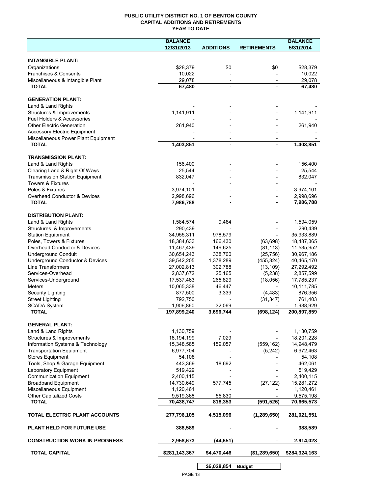## **PUBLIC UTILITY DISTRICT NO. 1 OF BENTON COUNTY CAPITAL ADDITIONS AND RETIREMENTS YEAR TO DATE**

|                                                | <b>BALANCE</b>        |                          |                          | <b>BALANCE</b>        |
|------------------------------------------------|-----------------------|--------------------------|--------------------------|-----------------------|
|                                                | 12/31/2013            | <b>ADDITIONS</b>         | <b>RETIREMENTS</b>       | 5/31/2014             |
|                                                |                       |                          |                          |                       |
| <b>INTANGIBLE PLANT:</b>                       |                       |                          |                          |                       |
| Organizations                                  | \$28,379              | \$0                      | \$0                      | \$28,379              |
| Franchises & Consents                          | 10,022                |                          |                          | 10,022                |
| Miscellaneous & Intangible Plant               | 29,078                | $\overline{\phantom{a}}$ |                          | 29.078                |
| <b>TOTAL</b>                                   | 67,480                |                          |                          | 67,480                |
|                                                |                       |                          |                          |                       |
| <b>GENERATION PLANT:</b><br>Land & Land Rights |                       |                          |                          |                       |
| Structures & Improvements                      | 1,141,911             |                          |                          | 1,141,911             |
| Fuel Holders & Accessories                     |                       |                          |                          |                       |
| <b>Other Electric Generation</b>               | 261,940               |                          |                          | 261,940               |
| <b>Accessory Electric Equipment</b>            |                       |                          |                          |                       |
| Miscellaneous Power Plant Equipment            |                       |                          |                          |                       |
| <b>TOTAL</b>                                   | 1,403,851             | $\overline{a}$           |                          | 1,403,851             |
|                                                |                       |                          |                          |                       |
| <b>TRANSMISSION PLANT:</b>                     |                       |                          |                          |                       |
| Land & Land Rights                             | 156,400               |                          |                          | 156,400               |
| Clearing Land & Right Of Ways                  | 25,544                |                          |                          | 25,544                |
| <b>Transmission Station Equipment</b>          | 832,047               |                          |                          | 832,047               |
| Towers & Fixtures                              |                       |                          |                          |                       |
| Poles & Fixtures                               | 3,974,101             |                          |                          | 3,974,101             |
| Overhead Conductor & Devices                   | 2,998,696             | $\overline{\phantom{a}}$ | $\overline{\phantom{0}}$ | 2,998,696             |
| <b>TOTAL</b>                                   | 7,986,788             |                          |                          | 7,986,788             |
|                                                |                       |                          |                          |                       |
| <b>DISTRIBUTION PLANT:</b>                     |                       |                          |                          |                       |
| Land & Land Rights                             | 1,584,574             | 9,484                    |                          | 1,594,059             |
| Structures & Improvements                      | 290,439               |                          |                          | 290,439               |
| <b>Station Equipment</b>                       | 34,955,311            | 978,579                  |                          | 35,933,889            |
| Poles, Towers & Fixtures                       | 18,384,633            | 166,430                  | (63, 698)                | 18,487,365            |
| Overhead Conductor & Devices                   | 11,467,439            | 149,625                  | (81, 113)                | 11,535,952            |
| <b>Underground Conduit</b>                     | 30,654,243            | 338,700                  | (25, 756)                | 30,967,186            |
| Underground Conductor & Devices                | 39,542,205            | 1,378,289                | (455, 324)               | 40,465,170            |
| Line Transformers                              | 27,002,813            | 302,788                  | (13, 109)                | 27,292,492            |
| Services-Overhead                              | 2,837,672             | 25,165                   | (5,238)                  | 2,857,599             |
| Services-Underground                           | 17,537,463            | 265,829                  | (18,056)                 | 17,785,237            |
| Meters<br>Security Lighting                    | 10,065,338<br>877,500 | 46,447<br>3,339          | (4, 483)                 | 10,111,785<br>876,356 |
| <b>Street Lighting</b>                         | 792,750               |                          | (31, 347)                | 761,403               |
| <b>SCADA System</b>                            | 1,906,860             | 32,069                   |                          | 1,938,929             |
| <b>TOTAL</b>                                   | 197,899,240           | 3,696,744                | (698, 124)               | 200,897,859           |
|                                                |                       |                          |                          |                       |
| <b>GENERAL PLANT:</b>                          |                       |                          |                          |                       |
| Land & Land Rights                             | 1,130,759             |                          |                          | 1,130,759             |
| Structures & Improvements                      | 18,194,199            | 7,029                    |                          | 18,201,228            |
| Information Systems & Technology               | 15,348,585            | 159,057                  | (559, 162)               | 14,948,479            |
| <b>Transportation Equipment</b>                | 6,977,704             |                          | (5,242)                  | 6,972,463             |
| <b>Stores Equipment</b>                        | 54,108                |                          |                          | 54,108                |
| Tools, Shop & Garage Equipment                 | 443,369               | 18,692                   |                          | 462,061               |
| Laboratory Equipment                           | 519,429               |                          |                          | 519,429               |
| <b>Communication Equipment</b>                 | 2,400,115             |                          |                          | 2,400,115             |
| <b>Broadband Equipment</b>                     | 14,730,649            | 577,745                  | (27, 122)                | 15,281,272            |
| Miscellaneous Equipment                        | 1,120,461             |                          |                          | 1,120,461             |
| <b>Other Capitalized Costs</b>                 | 9,519,368             | 55,830                   |                          | 9,575,198             |
| <b>TOTAL</b>                                   | 70,438,747            | 818,353                  | (591, 526)               | 70,665,573            |
| TOTAL ELECTRIC PLANT ACCOUNTS                  | 277,796,105           | 4,515,096                | (1, 289, 650)            | 281,021,551           |
| <b>PLANT HELD FOR FUTURE USE</b>               | 388,589               |                          |                          | 388,589               |
| <b>CONSTRUCTION WORK IN PROGRESS</b>           | 2,958,673             | (44, 651)                |                          | 2,914,023             |
| <b>TOTAL CAPITAL</b>                           | \$281,143,367         | \$4,470,446              | (\$1,289,650)            | \$284,324,163         |
|                                                |                       |                          |                          |                       |

**\$6,028,854 Budget**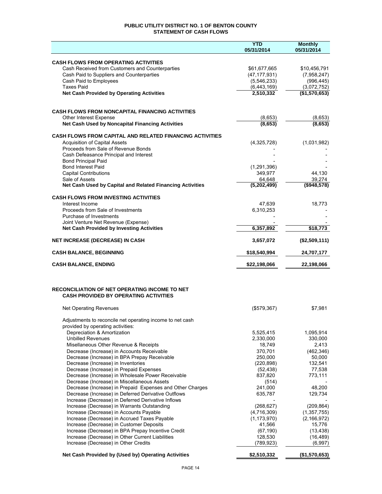## **PUBLIC UTILITY DISTRICT NO. 1 OF BENTON COUNTY STATEMENT OF CASH FLOWS**

|                                                                                                                  | <b>YTD</b><br>05/31/2014 | <b>Monthly</b><br>05/31/2014 |
|------------------------------------------------------------------------------------------------------------------|--------------------------|------------------------------|
|                                                                                                                  |                          |                              |
| <b>CASH FLOWS FROM OPERATING ACTIVITIES</b><br>Cash Received from Customers and Counterparties                   | \$61,677,665             | \$10,456,791                 |
| Cash Paid to Suppliers and Counterparties                                                                        | (47, 177, 931)           | (7,958,247)                  |
| Cash Paid to Employees                                                                                           | (5,546,233)              | (996, 445)                   |
| <b>Taxes Paid</b>                                                                                                | (6,443,169)              | (3,072,752)                  |
| <b>Net Cash Provided by Operating Activities</b>                                                                 | 2,510,332                | (\$1,570,653)                |
|                                                                                                                  |                          |                              |
| <b>CASH FLOWS FROM NONCAPITAL FINANCING ACTIVITIES</b><br>Other Interest Expense                                 | (8,653)                  | (8,653)                      |
| Net Cash Used by Noncapital Financing Activities                                                                 | (8,653)                  | (8,653)                      |
| <b>CASH FLOWS FROM CAPITAL AND RELATED FINANCING ACTIVITIES</b>                                                  |                          |                              |
| <b>Acquisition of Capital Assets</b>                                                                             | (4,325,728)              | (1,031,982)                  |
| Proceeds from Sale of Revenue Bonds                                                                              |                          |                              |
| Cash Defeasance Principal and Interest                                                                           |                          |                              |
| <b>Bond Principal Paid</b>                                                                                       |                          |                              |
| <b>Bond Interest Paid</b><br><b>Capital Contributions</b>                                                        | (1, 291, 396)<br>349,977 | 44,130                       |
| Sale of Assets                                                                                                   | 64,648                   | 39,274                       |
| Net Cash Used by Capital and Related Financing Activities                                                        | (5,202,499)              | (\$948,578)                  |
| <b>CASH FLOWS FROM INVESTING ACTIVITIES</b>                                                                      |                          |                              |
| Interest Income                                                                                                  | 47,639                   | 18,773                       |
| Proceeds from Sale of Investments                                                                                | 6,310,253                |                              |
| Purchase of Investments                                                                                          |                          |                              |
| Joint Venture Net Revenue (Expense)                                                                              |                          |                              |
| <b>Net Cash Provided by Investing Activities</b>                                                                 | 6,357,892                | \$18,773                     |
| <b>NET INCREASE (DECREASE) IN CASH</b>                                                                           | 3,657,072                | (\$2,509,111)                |
| <b>CASH BALANCE, BEGINNING</b>                                                                                   | \$18,540,994             | 24,707,177                   |
| <b>CASH BALANCE, ENDING</b>                                                                                      | \$22,198,066             | 22,198,066                   |
|                                                                                                                  |                          |                              |
| RECONCILIATION OF NET OPERATING INCOME TO NET                                                                    |                          |                              |
| <b>CASH PROVIDED BY OPERATING ACTIVITIES</b>                                                                     |                          |                              |
| <b>Net Operating Revenues</b>                                                                                    | (\$579,367)              | \$7.981                      |
| Adjustments to reconcile net operating income to net cash                                                        |                          |                              |
| provided by operating activities:<br>Depreciation & Amortization                                                 | 5,525,415                | 1,095,914                    |
| <b>Unbilled Revenues</b>                                                                                         | 2,330,000                | 330,000                      |
| Misellaneous Other Revenue & Receipts                                                                            | 18,749                   | 2,413                        |
| Decrease (Increase) in Accounts Receivable                                                                       | 370,701                  | (462, 346)                   |
| Decrease (Increase) in BPA Prepay Receivable                                                                     | 250,000                  | 50,000                       |
| Decrease (Increase) in Inventories                                                                               | (220, 898)               | 132,541                      |
| Decrease (Increase) in Prepaid Expenses                                                                          | (52, 438)                | 77,538                       |
| Decrease (Increase) in Wholesale Power Receivable                                                                | 837,820                  | 773,111                      |
| Decrease (Increase) in Miscellaneous Assets                                                                      | (514)                    |                              |
| Decrease (Increase) in Prepaid Expenses and Other Charges<br>Decrease (Increase) in Deferred Derivative Outflows | 241,000<br>635,787       | 48,200<br>129,734            |
| Increase (Decrease) in Deferred Derivative Inflows                                                               |                          |                              |
| Increase (Decrease) in Warrants Outstanding                                                                      | (268, 627)               | (209, 864)                   |
| Increase (Decrease) in Accounts Payable                                                                          | (4,716,309)              | (1, 357, 755)                |
| Increase (Decrease) in Accrued Taxes Payable                                                                     | (1, 173, 970)            | (2, 166, 972)                |
| Increase (Decrease) in Customer Deposits                                                                         | 41,566                   | 15,776                       |
| Increase (Decrease) in BPA Prepay Incentive Credit                                                               | (67, 190)                | (13, 438)                    |
| Increase (Decrease) in Other Current Liabilities                                                                 | 128,530                  | (16, 489)                    |
| Increase (Decrease) in Other Credits                                                                             | (789, 923)               | (6,997)                      |
| Net Cash Provided by (Used by) Operating Activities                                                              | \$2,510,332              | (\$1,570,653)                |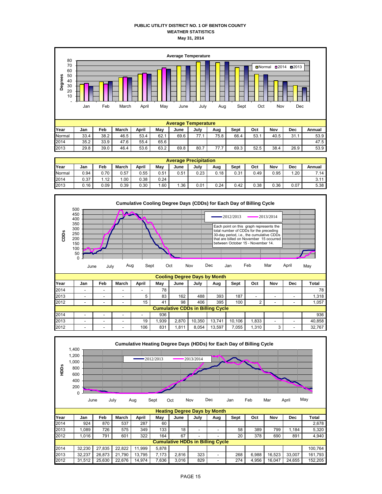## **PUBLIC UTILITY DISTRICT NO. 1 OF BENTON COUNTY WEATHER STATISTICS May 31, 2014**



|        | <b>Average Precipitation</b> |      |              |       |      |      |      |      |      |      |      |      |        |  |
|--------|------------------------------|------|--------------|-------|------|------|------|------|------|------|------|------|--------|--|
| Year   | Jan                          | Feb  | <b>March</b> | April | Mav  | June | July | Aug  | Sept | Oct  | Nov  | Dec  | Annual |  |
| Normal | 0.94                         | 0.70 | 0.57         | 0.55  | 0.51 | 0.51 | 0.23 | 0.18 | 0.31 | 0.49 | 0.95 | .20  | 7.14   |  |
| 2014   | 0.37                         | 1.12 | .00.         | 0.38  | 0.24 |      |      |      |      |      |      |      | 3.11   |  |
| 2013   | 0.16                         | 0.09 | 0.39         | 0.30  | .60  | .36  | 0.01 | 0.24 | 0.42 | 0.38 | 0.36 | 0.07 | 5.38   |  |



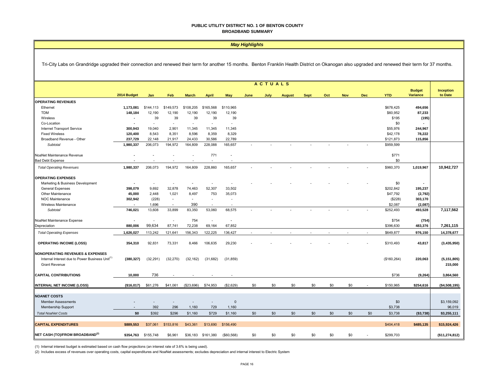#### **PUBLIC UTILITY DISTRICT NO. 1 OF BENTON COUNTY BROADBAND SUMMARY**

|                                                                                                                                                                                                     | <b>May Highlights</b>    |                          |                          |                          |                          |                          |        |      |               |             |     |            |              |              |                                  |                      |
|-----------------------------------------------------------------------------------------------------------------------------------------------------------------------------------------------------|--------------------------|--------------------------|--------------------------|--------------------------|--------------------------|--------------------------|--------|------|---------------|-------------|-----|------------|--------------|--------------|----------------------------------|----------------------|
| Tri-City Labs on Grandridge upgraded their connection and renewed their term for another 15 months. Benton Franklin Health District on Okanogan also upgraded and renewed their term for 37 months. |                          |                          |                          |                          |                          |                          |        |      |               |             |     |            |              |              |                                  |                      |
|                                                                                                                                                                                                     | <b>ACTUALS</b>           |                          |                          |                          |                          |                          |        |      |               |             |     |            |              |              |                                  |                      |
|                                                                                                                                                                                                     | 2014 Budget              | Jan                      | Feb                      | <b>March</b>             | <b>April</b>             | May                      | June   | July | <b>August</b> | <b>Sept</b> | Oct | <b>Nov</b> | <b>Dec</b>   | <b>YTD</b>   | <b>Budget</b><br><b>Variance</b> | Inception<br>to Date |
| <b>OPERATING REVENUES</b>                                                                                                                                                                           |                          |                          |                          |                          |                          |                          |        |      |               |             |     |            |              |              |                                  |                      |
| Ethernet                                                                                                                                                                                            | 1,173,081                | \$144,113                | \$149,573                | \$108,205                | \$165,568                | \$110,965                |        |      |               |             |     |            |              | \$678,425    | 494,656                          |                      |
| <b>TDM</b>                                                                                                                                                                                          | 148,184                  | 12,190                   | 12,190                   | 12,190                   | 12,190                   | 12,190                   |        |      |               |             |     |            |              | \$60,952     | 87,233                           |                      |
| Wireless                                                                                                                                                                                            |                          | 39                       | 39                       | 39                       | 39                       | 39                       |        |      |               |             |     |            |              | \$195        | (195)                            |                      |
| Co-Location                                                                                                                                                                                         |                          |                          | $\overline{\phantom{a}}$ | $\overline{\phantom{a}}$ | $\overline{\phantom{a}}$ | ٠                        |        |      |               |             |     |            |              | \$0          |                                  |                      |
|                                                                                                                                                                                                     |                          | 19,040                   | 2,901                    | 11,345                   | 11,345                   | 11,345                   |        |      |               |             |     |            |              | \$55,976     | 244,967                          |                      |
| Internet Transport Service                                                                                                                                                                          | 300,943                  |                          |                          |                          |                          |                          |        |      |               |             |     |            |              |              | 78,222                           |                      |
| <b>Fixed Wireless</b>                                                                                                                                                                               | 120,400                  | 8,543                    | 8,351                    | 8,596                    | 8,359                    | 8,329                    |        |      |               |             |     |            |              | \$42,178     |                                  |                      |
| Broadband Revenue - Other                                                                                                                                                                           | 237,729                  | 22,148                   | 21,917                   | 24,433                   | 30,586                   | 22,789                   |        |      |               |             |     |            |              | \$121,873    | 115,856                          |                      |
| Subtotal                                                                                                                                                                                            | 1,980,337                | 206,073                  | 194,972                  | 164,809                  | 228,088                  | 165,657                  |        |      |               |             |     |            |              | \$959,599    |                                  |                      |
| NoaNet Maintenance Revenue                                                                                                                                                                          | $\overline{\phantom{a}}$ | $\overline{\phantom{a}}$ | $\overline{\phantom{a}}$ | ÷.                       | 771                      | $\overline{\phantom{a}}$ |        |      |               |             |     |            |              | \$771        |                                  |                      |
| <b>Bad Debt Expense</b>                                                                                                                                                                             |                          |                          |                          | ÷                        |                          |                          |        |      |               |             |     |            |              | \$0          |                                  |                      |
| <b>Total Operating Revenues</b>                                                                                                                                                                     | 1,980,337                | 206,073                  | 194,972                  | 164,809                  | 228,860                  | 165,657                  |        |      |               |             |     |            |              | \$960,370    | 1,019,967                        | 10,942,727           |
| <b>OPERATING EXPENSES</b>                                                                                                                                                                           |                          |                          |                          |                          |                          |                          |        |      |               |             |     |            |              |              |                                  |                      |
| Marketing & Business Development                                                                                                                                                                    |                          |                          | $\overline{\phantom{a}}$ |                          | ÷                        |                          |        |      |               |             |     |            |              | \$0          |                                  |                      |
| <b>General Expenses</b>                                                                                                                                                                             | 398,079                  | 9,692                    | 32,878                   | 74,463                   | 52,307                   | 33,502                   |        |      |               |             |     |            |              | \$202,842    | 195,237                          |                      |
| Other Maintenance                                                                                                                                                                                   | 45,000                   | 2,448                    | 1,021                    | 8,497                    | 753                      | 35,073                   |        |      |               |             |     |            |              | \$47,792     | (2, 792)                         |                      |
| NOC Maintenance                                                                                                                                                                                     | 302,942                  | (228)                    | $\sim$                   | $\sim$                   | $\overline{\phantom{a}}$ | ÷,                       |        |      |               |             |     |            |              | (\$228)      | 303,170                          |                      |
| Wireless Maintenance                                                                                                                                                                                |                          |                          |                          |                          |                          |                          |        |      |               |             |     |            |              |              |                                  |                      |
|                                                                                                                                                                                                     |                          | 1,696                    | $\sim$                   | 390                      |                          |                          |        |      |               |             |     |            |              | \$2,087      | (2,087)                          |                      |
| Subtotal                                                                                                                                                                                            | 746,021                  | 13,608                   | 33,899                   | 83,350                   | 53,060                   | 68,575                   |        |      |               |             |     |            |              | \$252,493    | 493,528                          | 7,117,562            |
| NoaNet Maintenance Expense                                                                                                                                                                          | $\overline{\phantom{a}}$ | $\overline{\phantom{a}}$ | $\overline{\phantom{a}}$ | 754                      | $\sim$                   | $\sim$                   |        |      |               |             |     |            |              | \$754        | (754)                            |                      |
| Depreciation                                                                                                                                                                                        | 880,006                  | 99,634                   | 87,741                   | 72,238                   | 69,164                   | 67,852                   |        |      |               |             |     |            |              | \$396,630    | 483,376                          | 7,261,115            |
| <b>Total Operating Expenses</b>                                                                                                                                                                     | 1,626,027                | 113,242                  | 121,641                  | 156,343                  | 122,225                  | 136,427                  | $\sim$ |      |               | ÷.          |     |            | $\mathbf{r}$ | \$649,877    | 976,150                          | 14,378,677           |
|                                                                                                                                                                                                     |                          |                          |                          |                          |                          |                          |        |      |               |             |     |            |              |              |                                  |                      |
| <b>OPERATING INCOME (LOSS)</b>                                                                                                                                                                      | 354,310                  | 92,831                   | 73,331                   | 8.466                    | 106,635                  | 29,230                   |        |      |               |             |     |            |              | \$310,493    | 43,817                           | (3,435,950)          |
| <b>NONOPERATING REVENUES &amp; EXPENSES</b>                                                                                                                                                         |                          |                          |                          |                          |                          |                          |        |      |               |             |     |            |              |              |                                  |                      |
| Internal Interest due to Power Business Unit <sup>(1)</sup>                                                                                                                                         | (380, 327)               | (32, 291)                | (32, 270)                | (32, 162)                | (31, 682)                | (31, 859)                |        |      |               |             |     |            |              | (\$160, 264) | 220,063                          | (5, 151, 805)        |
| <b>Grant Revenue</b>                                                                                                                                                                                |                          |                          |                          |                          |                          |                          |        |      |               |             |     |            |              |              |                                  | 215,000              |
|                                                                                                                                                                                                     |                          |                          |                          |                          |                          |                          |        |      |               |             |     |            |              |              |                                  |                      |
| <b>CAPITAL CONTRIBUTIONS</b>                                                                                                                                                                        | 10,000                   | 736                      |                          |                          |                          |                          |        |      |               |             |     |            |              | \$736        | (9, 264)                         | 3,864,560            |
| <b>INTERNAL NET INCOME (LOSS)</b>                                                                                                                                                                   | (\$16,017)               | \$61,276                 | \$41,061                 | (\$23,696)               | \$74,953                 | (\$2,629)                | \$0    | \$0  | \$0           | \$0         | \$0 | \$0        |              | \$150,965    | \$254,616                        | (\$4,508,195)        |
|                                                                                                                                                                                                     |                          |                          |                          |                          |                          |                          |        |      |               |             |     |            |              |              |                                  |                      |
| <b>NOANET COSTS</b>                                                                                                                                                                                 |                          |                          |                          |                          |                          |                          |        |      |               |             |     |            |              |              |                                  |                      |
| <b>Member Assessments</b>                                                                                                                                                                           |                          |                          | $\overline{\phantom{a}}$ |                          | $\overline{\phantom{a}}$ | $\Omega$                 |        |      |               |             |     |            |              | \$0          |                                  | \$3,159,092          |
| <b>Membership Support</b>                                                                                                                                                                           |                          | 392                      | 296                      | 1,160                    | 729                      | 1,160                    |        |      |               |             |     |            |              | \$3,738      |                                  | 96,019               |
| <b>Total NoaNet Costs</b>                                                                                                                                                                           | \$0                      | \$392                    | \$296                    | \$1,160                  | \$729                    | \$1,160                  | \$0    | \$0  | \$0           | \$0         | \$0 | \$0        | \$0          | \$3,738      | ( \$3,738)                       | \$3,255,111          |
| <b>CAPITAL EXPENDITURES</b>                                                                                                                                                                         | \$889,553                | \$37,061                 | \$153,816                | \$43,361                 | \$13,690                 | \$156,490                |        |      |               |             |     |            |              | \$404,418    | \$485,135                        | \$15,924,426         |
|                                                                                                                                                                                                     |                          |                          |                          |                          |                          |                          |        |      |               |             |     |            |              |              |                                  |                      |
| NET CASH (TO)/FROM BROADBAND <sup>(2)</sup>                                                                                                                                                         | \$354,763                | \$155,748                | \$6,961                  | \$36,183                 | \$161,380                | ( \$60, 568)             | \$0    | \$0  | \$0           | \$0         | \$0 | \$0        |              | \$299,703    |                                  | (\$11,274,812)       |

(1) Internal interest budget is estimated based on cash flow projections (an interest rate of 3.6% is being used).

(2) Includes excess of revenues over operating costs, capital expenditures and NoaNet assessments; excludes depreciation and internal interest to Electric System